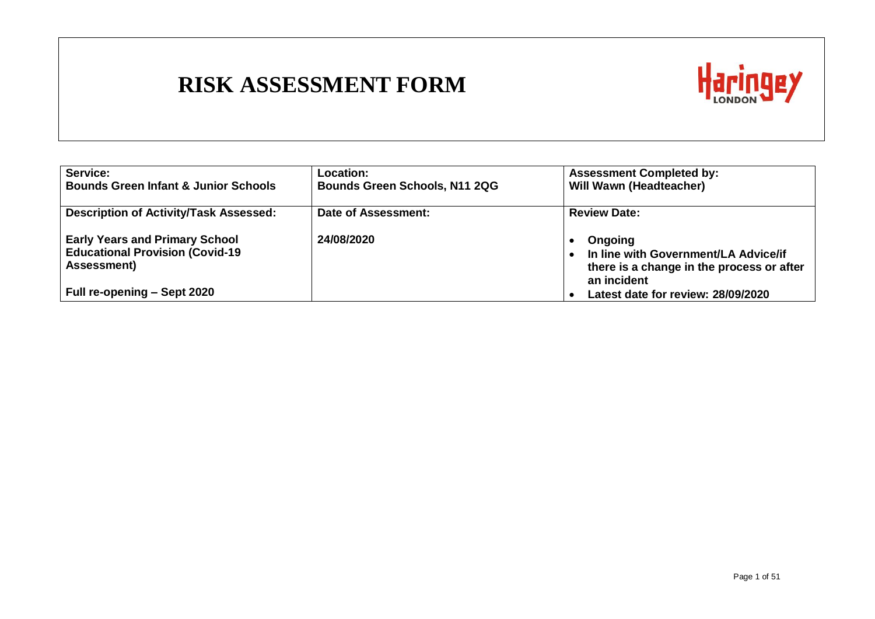

| Service:                                        | Location:                            | <b>Assessment Completed by:</b>                          |
|-------------------------------------------------|--------------------------------------|----------------------------------------------------------|
| <b>Bounds Green Infant &amp; Junior Schools</b> | <b>Bounds Green Schools, N11 2QG</b> | <b>Will Wawn (Headteacher)</b>                           |
| <b>Description of Activity/Task Assessed:</b>   | Date of Assessment:                  | <b>Review Date:</b>                                      |
| <b>Early Years and Primary School</b>           | 24/08/2020                           | Ongoing                                                  |
| <b>Educational Provision (Covid-19</b>          |                                      | In line with Government/LA Advice/if                     |
| <b>Assessment</b> )                             |                                      | there is a change in the process or after<br>an incident |
| <b>Full re-opening – Sept 2020</b>              |                                      | Latest date for review: 28/09/2020                       |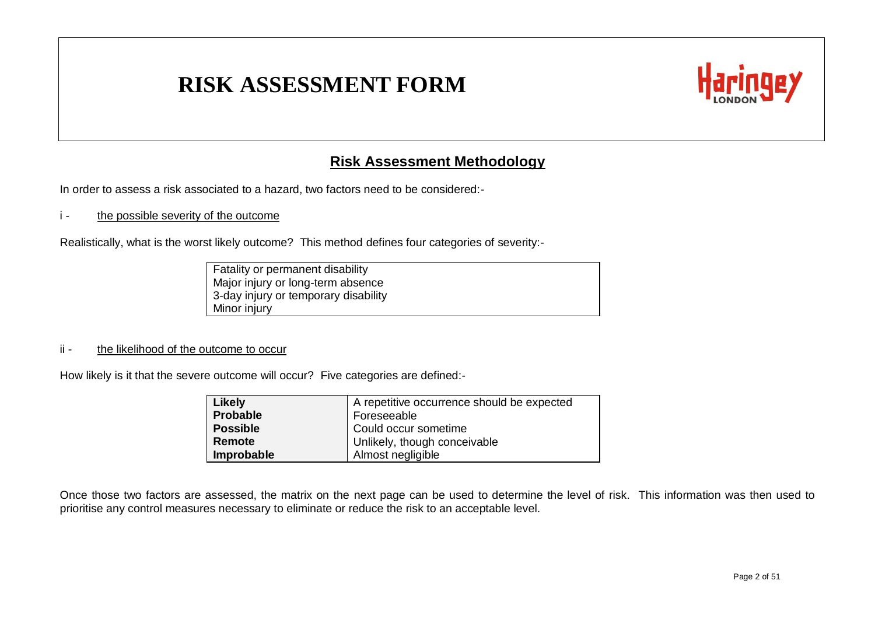

#### **Risk Assessment Methodology**

In order to assess a risk associated to a hazard, two factors need to be considered:-

#### i - the possible severity of the outcome

Realistically, what is the worst likely outcome? This method defines four categories of severity:-

Fatality or permanent disability Major injury or long-term absence 3-day injury or temporary disability Minor injury

#### ii - the likelihood of the outcome to occur

How likely is it that the severe outcome will occur? Five categories are defined:-

| Likely          | A repetitive occurrence should be expected |
|-----------------|--------------------------------------------|
| <b>Probable</b> | Foreseeable                                |
| <b>Possible</b> | Could occur sometime                       |
| Remote          | Unlikely, though conceivable               |
| Improbable      | Almost negligible                          |

Once those two factors are assessed, the matrix on the next page can be used to determine the level of risk. This information was then used to prioritise any control measures necessary to eliminate or reduce the risk to an acceptable level.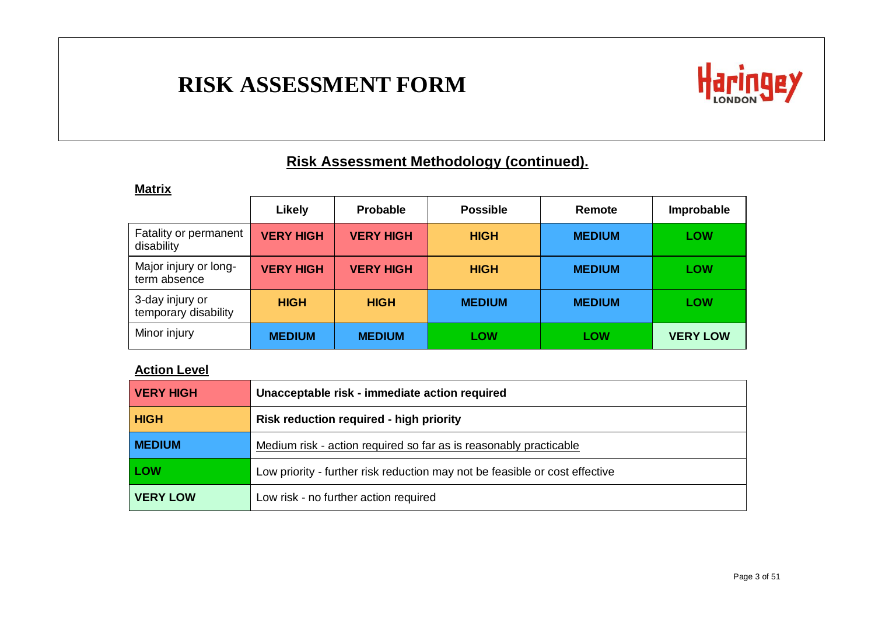

#### **Risk Assessment Methodology (continued).**

#### **Matrix**

|                                         | Likely           | <b>Probable</b>  | <b>Possible</b> | Remote        | Improbable      |
|-----------------------------------------|------------------|------------------|-----------------|---------------|-----------------|
| Fatality or permanent<br>disability     | <b>VERY HIGH</b> | <b>VERY HIGH</b> | <b>HIGH</b>     | <b>MEDIUM</b> | <b>LOW</b>      |
| Major injury or long-<br>term absence   | <b>VERY HIGH</b> | <b>VERY HIGH</b> | <b>HIGH</b>     | <b>MEDIUM</b> | <b>LOW</b>      |
| 3-day injury or<br>temporary disability | <b>HIGH</b>      | <b>HIGH</b>      | <b>MEDIUM</b>   | <b>MEDIUM</b> | <b>LOW</b>      |
| Minor injury                            | <b>MEDIUM</b>    | <b>MEDIUM</b>    | <b>LOW</b>      | <b>LOW</b>    | <b>VERY LOW</b> |

#### **Action Level**

| <b>VERY HIGH</b> | Unacceptable risk - immediate action required                               |
|------------------|-----------------------------------------------------------------------------|
| <b>HIGH</b>      | <b>Risk reduction required - high priority</b>                              |
| <b>MEDIUM</b>    | Medium risk - action required so far as is reasonably practicable           |
| LOW              | Low priority - further risk reduction may not be feasible or cost effective |
| <b>VERY LOW</b>  | Low risk - no further action required                                       |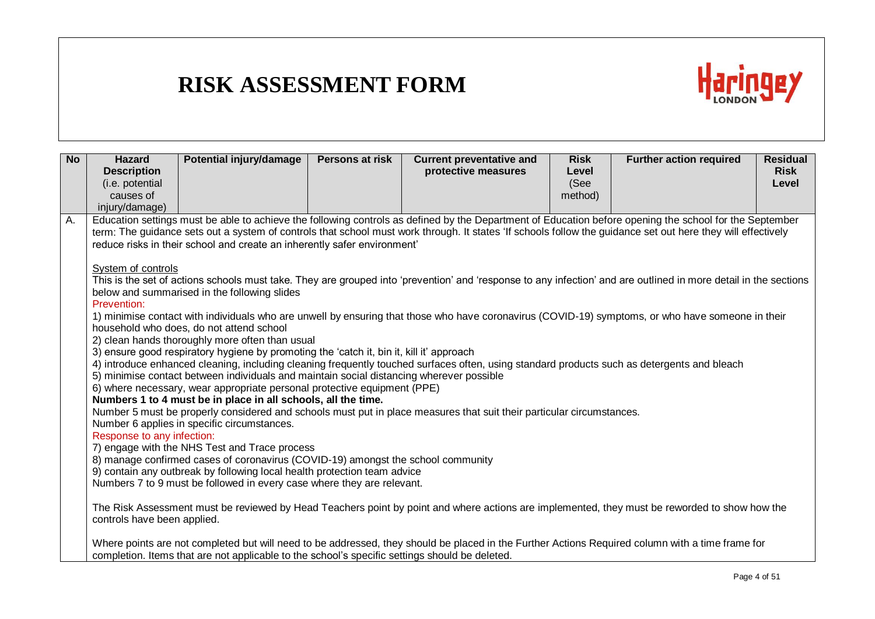

| <b>No</b> | <b>Hazard</b><br><b>Description</b><br>(i.e. potential<br>causes of                                              | Potential injury/damage                                                                                                                                                                                                                                                                                                                                                                                                                                                                                                                                                                                                                                                                                                                                                                                                                                                                                | Persons at risk | <b>Current preventative and</b><br>protective measures                                                                                                                                                                                                                                                                                                                                                                                                                                                                                                                                                                                                                                                                                                                                                                                                                                                                                                                                                                                                                    | <b>Risk</b><br>Level<br>(See<br>method) | <b>Further action required</b> | <b>Residual</b><br><b>Risk</b><br>Level |
|-----------|------------------------------------------------------------------------------------------------------------------|--------------------------------------------------------------------------------------------------------------------------------------------------------------------------------------------------------------------------------------------------------------------------------------------------------------------------------------------------------------------------------------------------------------------------------------------------------------------------------------------------------------------------------------------------------------------------------------------------------------------------------------------------------------------------------------------------------------------------------------------------------------------------------------------------------------------------------------------------------------------------------------------------------|-----------------|---------------------------------------------------------------------------------------------------------------------------------------------------------------------------------------------------------------------------------------------------------------------------------------------------------------------------------------------------------------------------------------------------------------------------------------------------------------------------------------------------------------------------------------------------------------------------------------------------------------------------------------------------------------------------------------------------------------------------------------------------------------------------------------------------------------------------------------------------------------------------------------------------------------------------------------------------------------------------------------------------------------------------------------------------------------------------|-----------------------------------------|--------------------------------|-----------------------------------------|
| Α.        | injury/damage)<br>System of controls<br>Prevention:<br>Response to any infection:<br>controls have been applied. | reduce risks in their school and create an inherently safer environment'<br>below and summarised in the following slides<br>household who does, do not attend school<br>2) clean hands thoroughly more often than usual<br>3) ensure good respiratory hygiene by promoting the 'catch it, bin it, kill it' approach<br>5) minimise contact between individuals and maintain social distancing wherever possible<br>6) where necessary, wear appropriate personal protective equipment (PPE)<br>Numbers 1 to 4 must be in place in all schools, all the time.<br>Number 6 applies in specific circumstances.<br>7) engage with the NHS Test and Trace process<br>8) manage confirmed cases of coronavirus (COVID-19) amongst the school community<br>9) contain any outbreak by following local health protection team advice<br>Numbers 7 to 9 must be followed in every case where they are relevant. |                 | Education settings must be able to achieve the following controls as defined by the Department of Education before opening the school for the September<br>term: The guidance sets out a system of controls that school must work through. It states 'If schools follow the guidance set out here they will effectively<br>This is the set of actions schools must take. They are grouped into 'prevention' and 'response to any infection' and are outlined in more detail in the sections<br>1) minimise contact with individuals who are unwell by ensuring that those who have coronavirus (COVID-19) symptoms, or who have someone in their<br>4) introduce enhanced cleaning, including cleaning frequently touched surfaces often, using standard products such as detergents and bleach<br>Number 5 must be properly considered and schools must put in place measures that suit their particular circumstances.<br>The Risk Assessment must be reviewed by Head Teachers point by point and where actions are implemented, they must be reworded to show how the |                                         |                                |                                         |
|           |                                                                                                                  | completion. Items that are not applicable to the school's specific settings should be deleted.                                                                                                                                                                                                                                                                                                                                                                                                                                                                                                                                                                                                                                                                                                                                                                                                         |                 | Where points are not completed but will need to be addressed, they should be placed in the Further Actions Required column with a time frame for                                                                                                                                                                                                                                                                                                                                                                                                                                                                                                                                                                                                                                                                                                                                                                                                                                                                                                                          |                                         |                                |                                         |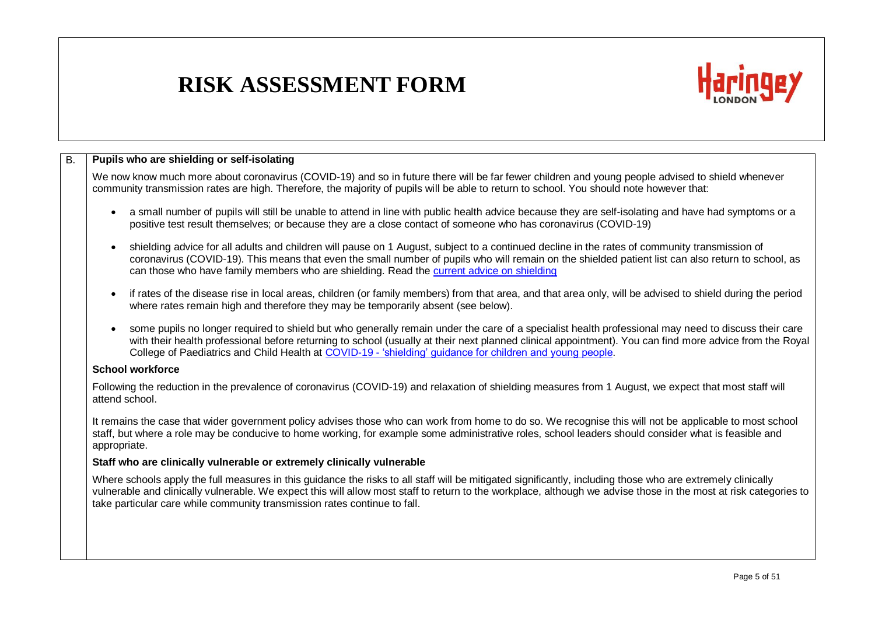

| <b>B.</b> | Pupils who are shielding or self-isolating                                                                                                                                                                                                                                                                                                                                                                                               |
|-----------|------------------------------------------------------------------------------------------------------------------------------------------------------------------------------------------------------------------------------------------------------------------------------------------------------------------------------------------------------------------------------------------------------------------------------------------|
|           | We now know much more about coronavirus (COVID-19) and so in future there will be far fewer children and young people advised to shield whenever<br>community transmission rates are high. Therefore, the majority of pupils will be able to return to school. You should note however that:                                                                                                                                             |
|           | a small number of pupils will still be unable to attend in line with public health advice because they are self-isolating and have had symptoms or a<br>$\bullet$<br>positive test result themselves; or because they are a close contact of someone who has coronavirus (COVID-19)                                                                                                                                                      |
|           | shielding advice for all adults and children will pause on 1 August, subject to a continued decline in the rates of community transmission of<br>$\bullet$<br>coronavirus (COVID-19). This means that even the small number of pupils who will remain on the shielded patient list can also return to school, as<br>can those who have family members who are shielding. Read the current advice on shielding                            |
|           | if rates of the disease rise in local areas, children (or family members) from that area, and that area only, will be advised to shield during the period<br>$\bullet$<br>where rates remain high and therefore they may be temporarily absent (see below).                                                                                                                                                                              |
|           | some pupils no longer required to shield but who generally remain under the care of a specialist health professional may need to discuss their care<br>$\bullet$<br>with their health professional before returning to school (usually at their next planned clinical appointment). You can find more advice from the Royal<br>College of Paediatrics and Child Health at COVID-19 - 'shielding' guidance for children and young people. |
|           | <b>School workforce</b>                                                                                                                                                                                                                                                                                                                                                                                                                  |
|           | Following the reduction in the prevalence of coronavirus (COVID-19) and relaxation of shielding measures from 1 August, we expect that most staff will<br>attend school.                                                                                                                                                                                                                                                                 |
|           | It remains the case that wider government policy advises those who can work from home to do so. We recognise this will not be applicable to most school<br>staff, but where a role may be conducive to home working, for example some administrative roles, school leaders should consider what is feasible and<br>appropriate.                                                                                                          |
|           | Staff who are clinically vulnerable or extremely clinically vulnerable                                                                                                                                                                                                                                                                                                                                                                   |
|           | Where schools apply the full measures in this guidance the risks to all staff will be mitigated significantly, including those who are extremely clinically<br>vulnerable and clinically vulnerable. We expect this will allow most staff to return to the workplace, although we advise those in the most at risk categories to<br>take particular care while community transmission rates continue to fall.                            |
|           |                                                                                                                                                                                                                                                                                                                                                                                                                                          |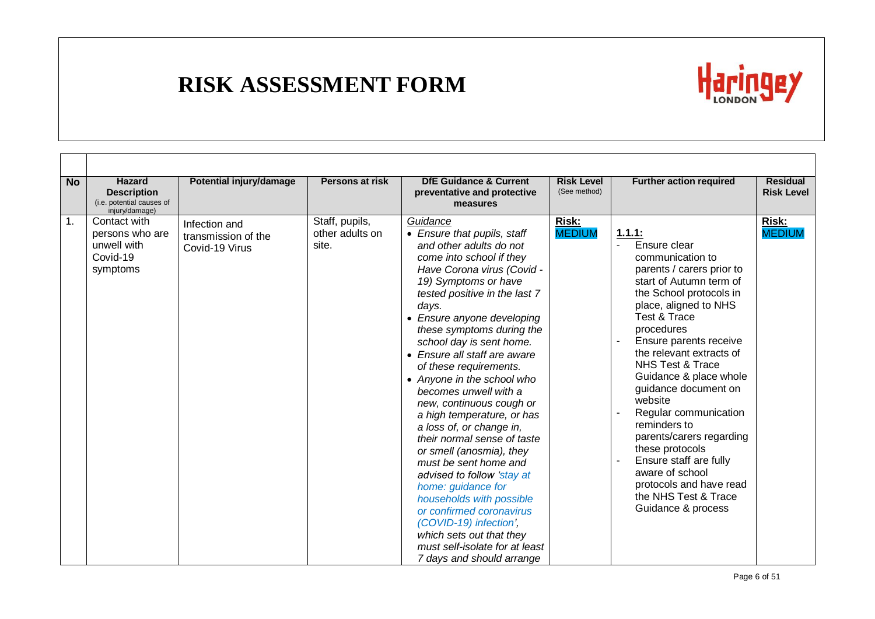

| <b>No</b> | <b>Hazard</b><br><b>Description</b><br>(i.e. potential causes of<br>injury/damage) | Potential injury/damage                                | <b>Persons at risk</b>                     | <b>DfE Guidance &amp; Current</b><br>preventative and protective<br>measures                                                                                                                                                                                                                                                                                                                                                                                                                                                                                                                                                                                                                                                                                                                                      | <b>Risk Level</b><br>(See method) | <b>Further action required</b>                                                                                                                                                                                                                                                                                                                                                                                                                                                                                                                                                | <b>Residual</b><br><b>Risk Level</b> |
|-----------|------------------------------------------------------------------------------------|--------------------------------------------------------|--------------------------------------------|-------------------------------------------------------------------------------------------------------------------------------------------------------------------------------------------------------------------------------------------------------------------------------------------------------------------------------------------------------------------------------------------------------------------------------------------------------------------------------------------------------------------------------------------------------------------------------------------------------------------------------------------------------------------------------------------------------------------------------------------------------------------------------------------------------------------|-----------------------------------|-------------------------------------------------------------------------------------------------------------------------------------------------------------------------------------------------------------------------------------------------------------------------------------------------------------------------------------------------------------------------------------------------------------------------------------------------------------------------------------------------------------------------------------------------------------------------------|--------------------------------------|
| 1.        | Contact with<br>persons who are<br>unwell with<br>Covid-19<br>symptoms             | Infection and<br>transmission of the<br>Covid-19 Virus | Staff, pupils,<br>other adults on<br>site. | Guidance<br>• Ensure that pupils, staff<br>and other adults do not<br>come into school if they<br>Have Corona virus (Covid -<br>19) Symptoms or have<br>tested positive in the last 7<br>days.<br>• Ensure anyone developing<br>these symptoms during the<br>school day is sent home.<br>• Ensure all staff are aware<br>of these requirements.<br>• Anyone in the school who<br>becomes unwell with a<br>new, continuous cough or<br>a high temperature, or has<br>a loss of, or change in,<br>their normal sense of taste<br>or smell (anosmia), they<br>must be sent home and<br>advised to follow 'stay at<br>home: guidance for<br>households with possible<br>or confirmed coronavirus<br>(COVID-19) infection',<br>which sets out that they<br>must self-isolate for at least<br>7 days and should arrange | Risk:<br><b>MEDIUM</b>            | 1.1.1:<br>Ensure clear<br>$\blacksquare$<br>communication to<br>parents / carers prior to<br>start of Autumn term of<br>the School protocols in<br>place, aligned to NHS<br>Test & Trace<br>procedures<br>Ensure parents receive<br>the relevant extracts of<br>NHS Test & Trace<br>Guidance & place whole<br>guidance document on<br>website<br>Regular communication<br>reminders to<br>parents/carers regarding<br>these protocols<br>Ensure staff are fully<br>$\blacksquare$<br>aware of school<br>protocols and have read<br>the NHS Test & Trace<br>Guidance & process | Risk:<br><b>MEDIUM</b>               |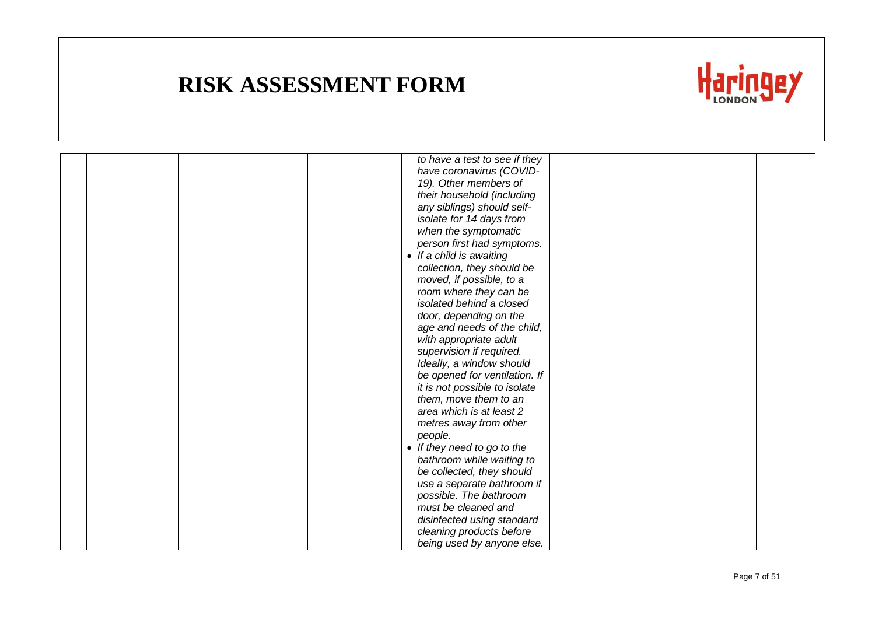

|  | to have a test to see if they |
|--|-------------------------------|
|  | have coronavirus (COVID-      |
|  | 19). Other members of         |
|  | their household (including    |
|  | any siblings) should self-    |
|  | isolate for 14 days from      |
|  | when the symptomatic          |
|  | person first had symptoms.    |
|  | • If a child is awaiting      |
|  | collection, they should be    |
|  | moved, if possible, to a      |
|  | room where they can be        |
|  | isolated behind a closed      |
|  | door, depending on the        |
|  | age and needs of the child,   |
|  | with appropriate adult        |
|  | supervision if required.      |
|  | Ideally, a window should      |
|  | be opened for ventilation. If |
|  | it is not possible to isolate |
|  | them, move them to an         |
|  | area which is at least 2      |
|  | metres away from other        |
|  | people.                       |
|  | • If they need to go to the   |
|  | bathroom while waiting to     |
|  | be collected, they should     |
|  | use a separate bathroom if    |
|  | possible. The bathroom        |
|  | must be cleaned and           |
|  | disinfected using standard    |
|  | cleaning products before      |
|  | being used by anyone else.    |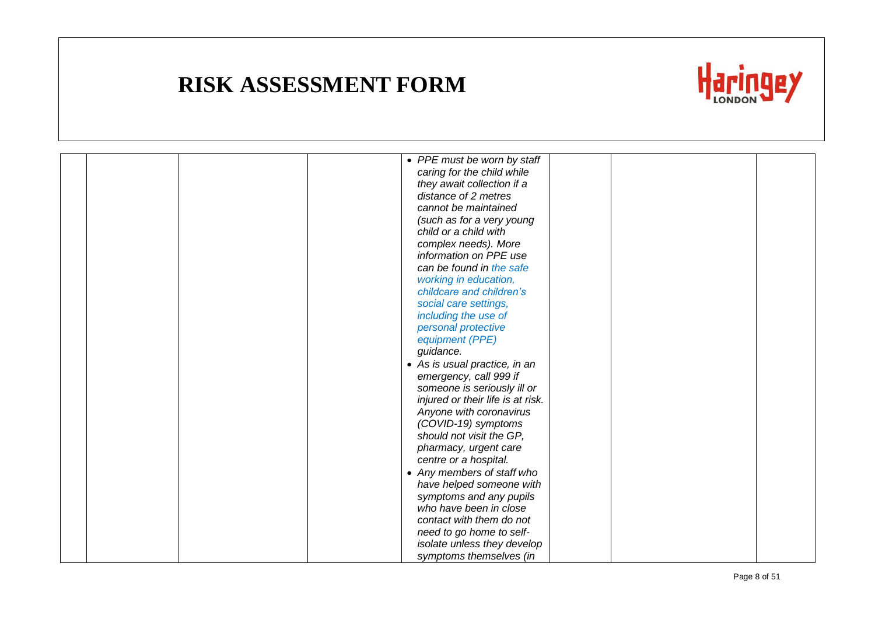

|  | • PPE must be worn by staff       |  |
|--|-----------------------------------|--|
|  | caring for the child while        |  |
|  | they await collection if a        |  |
|  | distance of 2 metres              |  |
|  | cannot be maintained              |  |
|  | (such as for a very young         |  |
|  | child or a child with             |  |
|  | complex needs). More              |  |
|  | information on PPE use            |  |
|  | can be found in the safe          |  |
|  | working in education,             |  |
|  | childcare and children's          |  |
|  | social care settings,             |  |
|  | including the use of              |  |
|  | personal protective               |  |
|  | equipment (PPE)                   |  |
|  | guidance.                         |  |
|  | • As is usual practice, in an     |  |
|  | emergency, call 999 if            |  |
|  | someone is seriously ill or       |  |
|  | injured or their life is at risk. |  |
|  | Anyone with coronavirus           |  |
|  | (COVID-19) symptoms               |  |
|  | should not visit the GP,          |  |
|  | pharmacy, urgent care             |  |
|  | centre or a hospital.             |  |
|  | • Any members of staff who        |  |
|  | have helped someone with          |  |
|  | symptoms and any pupils           |  |
|  | who have been in close            |  |
|  | contact with them do not          |  |
|  | need to go home to self-          |  |
|  | isolate unless they develop       |  |
|  | symptoms themselves (in           |  |
|  |                                   |  |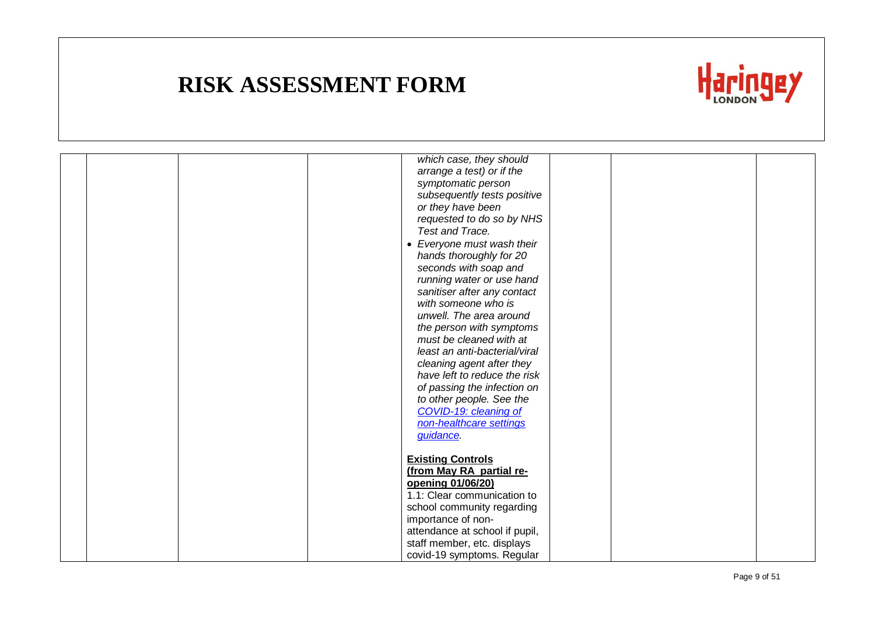

| which case, they should        |  |
|--------------------------------|--|
| arrange a test) or if the      |  |
| symptomatic person             |  |
| subsequently tests positive    |  |
| or they have been              |  |
| requested to do so by NHS      |  |
| Test and Trace.                |  |
| • Everyone must wash their     |  |
| hands thoroughly for 20        |  |
| seconds with soap and          |  |
| running water or use hand      |  |
| sanitiser after any contact    |  |
| with someone who is            |  |
| unwell. The area around        |  |
| the person with symptoms       |  |
| must be cleaned with at        |  |
| least an anti-bacterial/viral  |  |
| cleaning agent after they      |  |
| have left to reduce the risk   |  |
| of passing the infection on    |  |
| to other people. See the       |  |
| COVID-19: cleaning of          |  |
| non-healthcare settings        |  |
| <i>guidance</i> .              |  |
|                                |  |
| <b>Existing Controls</b>       |  |
| (from May RA partial re-       |  |
| opening 01/06/20)              |  |
| 1.1: Clear communication to    |  |
| school community regarding     |  |
| importance of non-             |  |
| attendance at school if pupil, |  |
| staff member, etc. displays    |  |
| covid-19 symptoms. Regular     |  |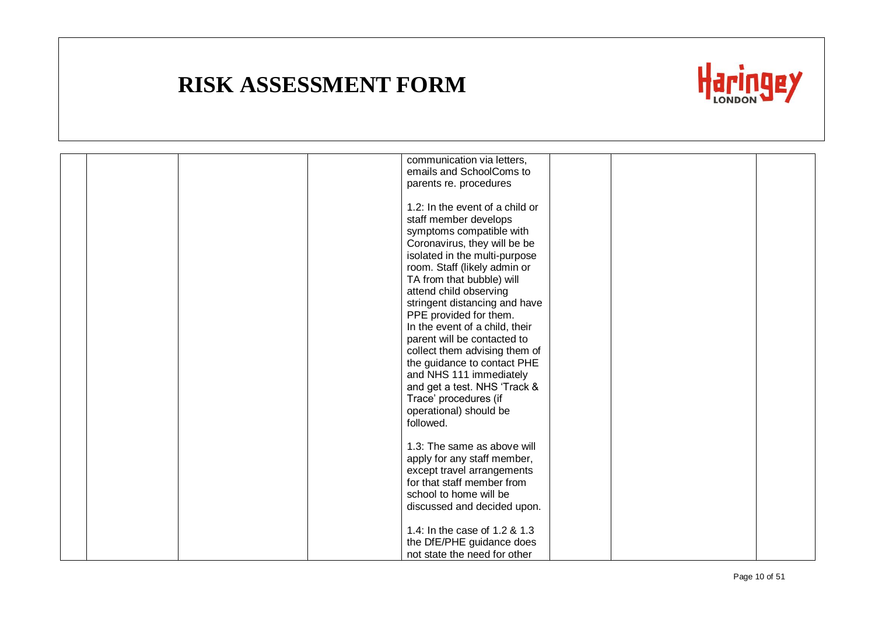

|  | communication via letters,      |  |
|--|---------------------------------|--|
|  | emails and SchoolComs to        |  |
|  | parents re. procedures          |  |
|  |                                 |  |
|  | 1.2: In the event of a child or |  |
|  | staff member develops           |  |
|  | symptoms compatible with        |  |
|  | Coronavirus, they will be be    |  |
|  | isolated in the multi-purpose   |  |
|  | room. Staff (likely admin or    |  |
|  | TA from that bubble) will       |  |
|  | attend child observing          |  |
|  | stringent distancing and have   |  |
|  | PPE provided for them.          |  |
|  | In the event of a child, their  |  |
|  | parent will be contacted to     |  |
|  | collect them advising them of   |  |
|  | the guidance to contact PHE     |  |
|  | and NHS 111 immediately         |  |
|  | and get a test. NHS 'Track &    |  |
|  | Trace' procedures (if           |  |
|  | operational) should be          |  |
|  | followed.                       |  |
|  |                                 |  |
|  | 1.3: The same as above will     |  |
|  | apply for any staff member,     |  |
|  | except travel arrangements      |  |
|  | for that staff member from      |  |
|  | school to home will be          |  |
|  | discussed and decided upon.     |  |
|  |                                 |  |
|  | 1.4: In the case of 1.2 & 1.3   |  |
|  | the DfE/PHE guidance does       |  |
|  | not state the need for other    |  |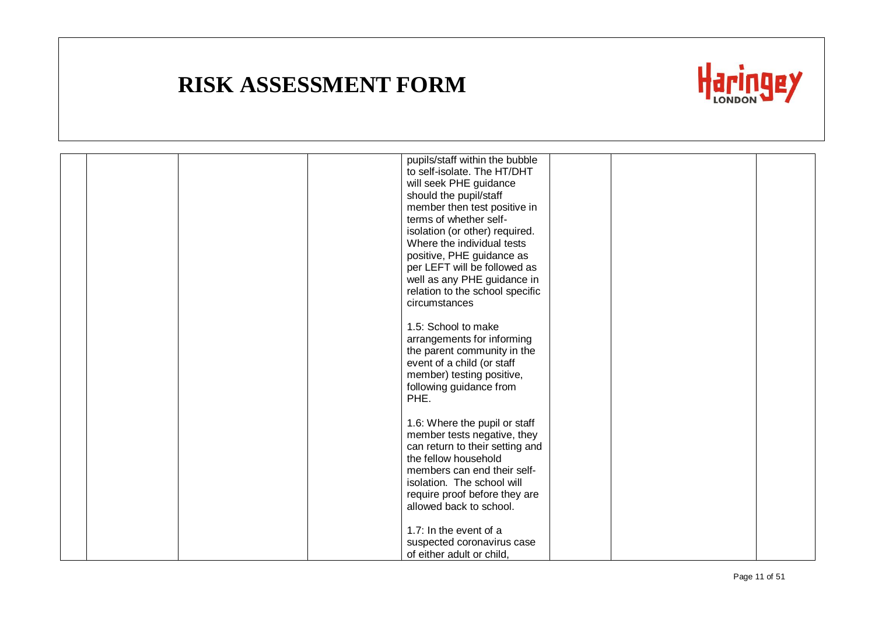

|  |  | pupils/staff within the bubble  |  |  |
|--|--|---------------------------------|--|--|
|  |  | to self-isolate. The HT/DHT     |  |  |
|  |  | will seek PHE guidance          |  |  |
|  |  | should the pupil/staff          |  |  |
|  |  | member then test positive in    |  |  |
|  |  | terms of whether self-          |  |  |
|  |  | isolation (or other) required.  |  |  |
|  |  | Where the individual tests      |  |  |
|  |  | positive, PHE guidance as       |  |  |
|  |  | per LEFT will be followed as    |  |  |
|  |  | well as any PHE guidance in     |  |  |
|  |  | relation to the school specific |  |  |
|  |  | circumstances                   |  |  |
|  |  |                                 |  |  |
|  |  | 1.5: School to make             |  |  |
|  |  | arrangements for informing      |  |  |
|  |  | the parent community in the     |  |  |
|  |  | event of a child (or staff      |  |  |
|  |  | member) testing positive,       |  |  |
|  |  | following guidance from         |  |  |
|  |  | PHE.                            |  |  |
|  |  |                                 |  |  |
|  |  | 1.6: Where the pupil or staff   |  |  |
|  |  | member tests negative, they     |  |  |
|  |  | can return to their setting and |  |  |
|  |  | the fellow household            |  |  |
|  |  | members can end their self-     |  |  |
|  |  | isolation. The school will      |  |  |
|  |  | require proof before they are   |  |  |
|  |  | allowed back to school.         |  |  |
|  |  |                                 |  |  |
|  |  | 1.7: In the event of a          |  |  |
|  |  | suspected coronavirus case      |  |  |
|  |  | of either adult or child,       |  |  |
|  |  |                                 |  |  |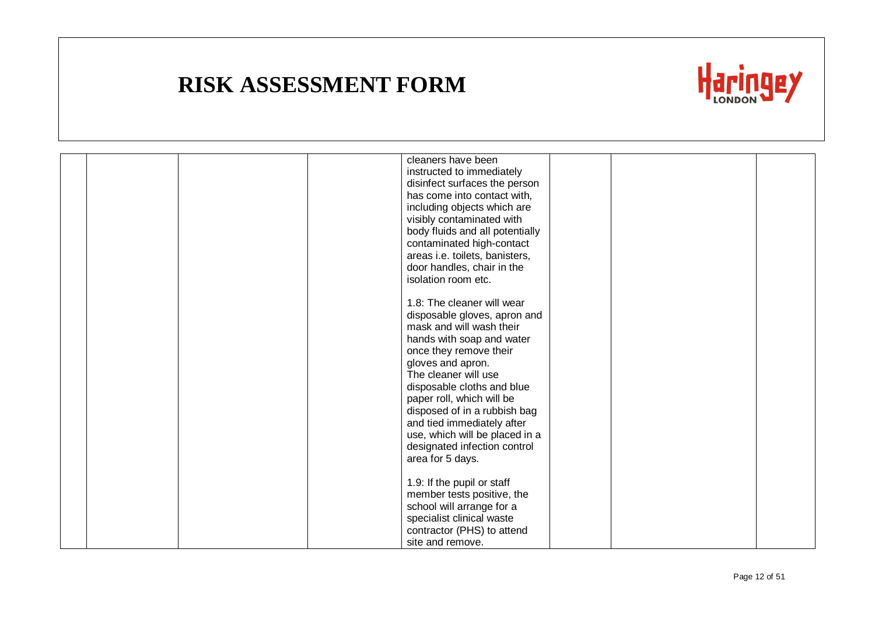

|  |  | cleaners have been              |  |  |
|--|--|---------------------------------|--|--|
|  |  | instructed to immediately       |  |  |
|  |  | disinfect surfaces the person   |  |  |
|  |  | has come into contact with,     |  |  |
|  |  | including objects which are     |  |  |
|  |  | visibly contaminated with       |  |  |
|  |  | body fluids and all potentially |  |  |
|  |  | contaminated high-contact       |  |  |
|  |  |                                 |  |  |
|  |  | areas i.e. toilets, banisters,  |  |  |
|  |  | door handles, chair in the      |  |  |
|  |  | isolation room etc.             |  |  |
|  |  |                                 |  |  |
|  |  | 1.8: The cleaner will wear      |  |  |
|  |  | disposable gloves, apron and    |  |  |
|  |  | mask and will wash their        |  |  |
|  |  | hands with soap and water       |  |  |
|  |  | once they remove their          |  |  |
|  |  | gloves and apron.               |  |  |
|  |  | The cleaner will use            |  |  |
|  |  | disposable cloths and blue      |  |  |
|  |  | paper roll, which will be       |  |  |
|  |  | disposed of in a rubbish bag    |  |  |
|  |  | and tied immediately after      |  |  |
|  |  | use, which will be placed in a  |  |  |
|  |  | designated infection control    |  |  |
|  |  | area for 5 days.                |  |  |
|  |  |                                 |  |  |
|  |  | 1.9: If the pupil or staff      |  |  |
|  |  | member tests positive, the      |  |  |
|  |  | school will arrange for a       |  |  |
|  |  | specialist clinical waste       |  |  |
|  |  | contractor (PHS) to attend      |  |  |
|  |  | site and remove.                |  |  |
|  |  |                                 |  |  |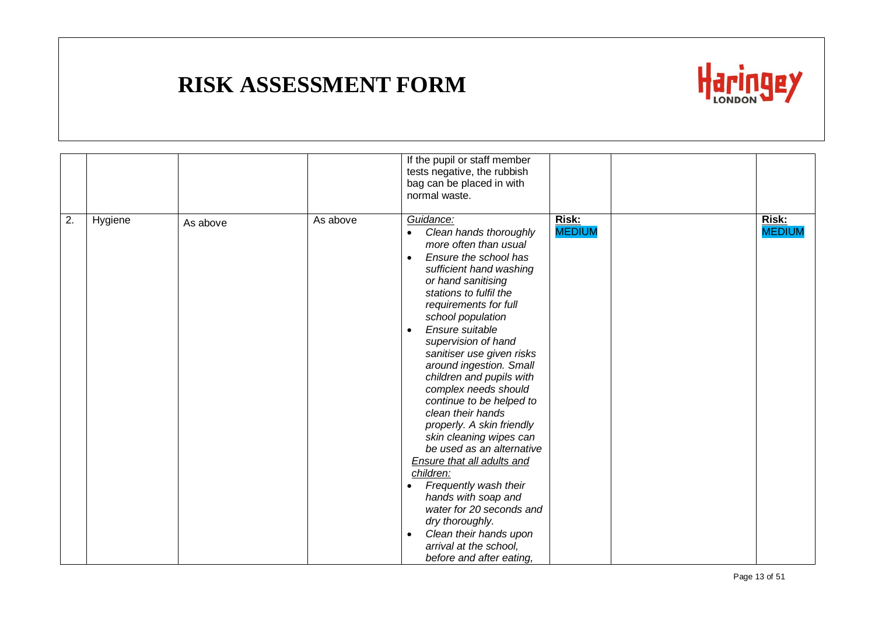

|    |         |          |          | If the pupil or staff member<br>tests negative, the rubbish<br>bag can be placed in with<br>normal waste.                                                                                                                                                                                                                                                                                                                                                                                                                                                                                                                                                                                                                                                                                                    |                        |                        |
|----|---------|----------|----------|--------------------------------------------------------------------------------------------------------------------------------------------------------------------------------------------------------------------------------------------------------------------------------------------------------------------------------------------------------------------------------------------------------------------------------------------------------------------------------------------------------------------------------------------------------------------------------------------------------------------------------------------------------------------------------------------------------------------------------------------------------------------------------------------------------------|------------------------|------------------------|
| 2. | Hygiene | As above | As above | Guidance:<br>Clean hands thoroughly<br>$\bullet$<br>more often than usual<br>Ensure the school has<br>$\bullet$<br>sufficient hand washing<br>or hand sanitising<br>stations to fulfil the<br>requirements for full<br>school population<br>Ensure suitable<br>$\bullet$<br>supervision of hand<br>sanitiser use given risks<br>around ingestion. Small<br>children and pupils with<br>complex needs should<br>continue to be helped to<br>clean their hands<br>properly. A skin friendly<br>skin cleaning wipes can<br>be used as an alternative<br><b>Ensure that all adults and</b><br>children:<br>Frequently wash their<br>$\bullet$<br>hands with soap and<br>water for 20 seconds and<br>dry thoroughly.<br>Clean their hands upon<br>$\bullet$<br>arrival at the school,<br>before and after eating, | Risk:<br><b>MEDIUM</b> | Risk:<br><b>MEDIUM</b> |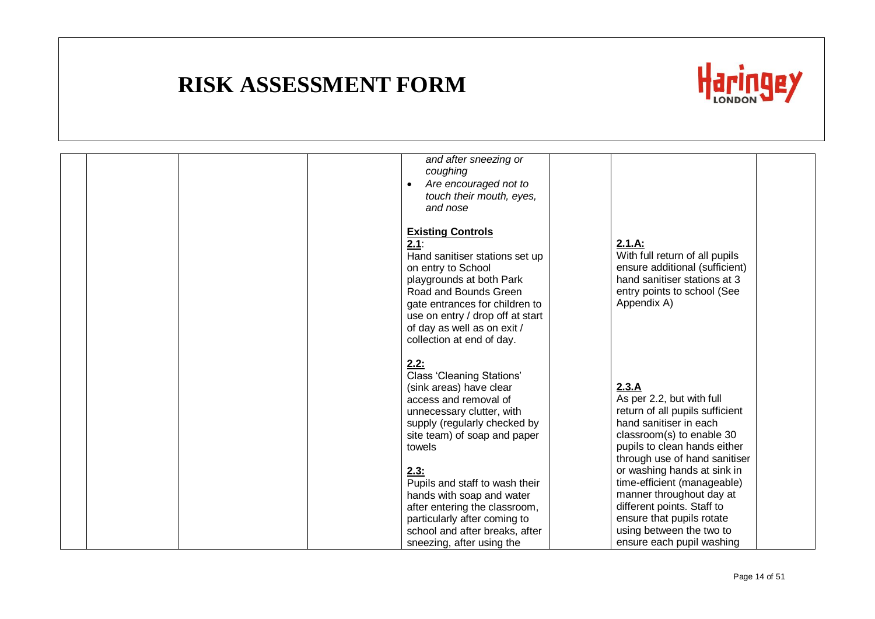

|  |  | and after sneezing or<br>coughing<br>Are encouraged not to<br>$\bullet$<br>touch their mouth, eyes,<br>and nose                                                                                                                                                                 |                                                                                                                                                                                                                              |  |
|--|--|---------------------------------------------------------------------------------------------------------------------------------------------------------------------------------------------------------------------------------------------------------------------------------|------------------------------------------------------------------------------------------------------------------------------------------------------------------------------------------------------------------------------|--|
|  |  | <b>Existing Controls</b><br>2.1:<br>Hand sanitiser stations set up<br>on entry to School<br>playgrounds at both Park<br>Road and Bounds Green<br>gate entrances for children to<br>use on entry / drop off at start<br>of day as well as on exit /<br>collection at end of day. | 2.1.A:<br>With full return of all pupils<br>ensure additional (sufficient)<br>hand sanitiser stations at 3<br>entry points to school (See<br>Appendix A)                                                                     |  |
|  |  | 2.2:<br><b>Class 'Cleaning Stations'</b><br>(sink areas) have clear<br>access and removal of<br>unnecessary clutter, with<br>supply (regularly checked by<br>site team) of soap and paper<br>towels<br>2.3:                                                                     | 2.3.A<br>As per 2.2, but with full<br>return of all pupils sufficient<br>hand sanitiser in each<br>classroom(s) to enable 30<br>pupils to clean hands either<br>through use of hand sanitiser<br>or washing hands at sink in |  |
|  |  | Pupils and staff to wash their<br>hands with soap and water<br>after entering the classroom,<br>particularly after coming to<br>school and after breaks, after                                                                                                                  | time-efficient (manageable)<br>manner throughout day at<br>different points. Staff to<br>ensure that pupils rotate<br>using between the two to                                                                               |  |
|  |  | sneezing, after using the                                                                                                                                                                                                                                                       | ensure each pupil washing                                                                                                                                                                                                    |  |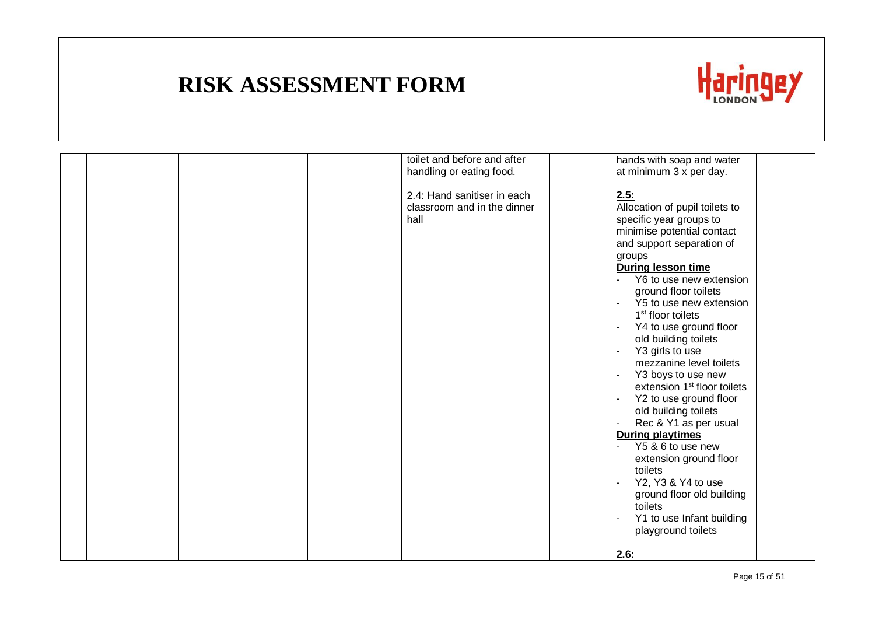

|  | toilet and before and after<br>handling or eating food.            | hands with soap and water<br>at minimum 3 x per day.                                                                                                                                                                                                                                                                                                                                                                                                                                                                                                                                                                                                                                                                                                                     |  |
|--|--------------------------------------------------------------------|--------------------------------------------------------------------------------------------------------------------------------------------------------------------------------------------------------------------------------------------------------------------------------------------------------------------------------------------------------------------------------------------------------------------------------------------------------------------------------------------------------------------------------------------------------------------------------------------------------------------------------------------------------------------------------------------------------------------------------------------------------------------------|--|
|  | 2.4: Hand sanitiser in each<br>classroom and in the dinner<br>hall | 2.5:<br>Allocation of pupil toilets to<br>specific year groups to<br>minimise potential contact<br>and support separation of<br>groups<br><b>During lesson time</b><br>Y6 to use new extension<br>ground floor toilets<br>Y5 to use new extension<br>1 <sup>st</sup> floor toilets<br>Y4 to use ground floor<br>$\blacksquare$<br>old building toilets<br>Y3 girls to use<br>mezzanine level toilets<br>Y3 boys to use new<br>$\blacksquare$<br>extension 1 <sup>st</sup> floor toilets<br>Y2 to use ground floor<br>old building toilets<br>Rec & Y1 as per usual<br><b>During playtimes</b><br>Y5 & 6 to use new<br>extension ground floor<br>toilets<br>Y2, Y3 & Y4 to use<br>ground floor old building<br>toilets<br>Y1 to use Infant building<br>playground toilets |  |
|  |                                                                    | 2.6:                                                                                                                                                                                                                                                                                                                                                                                                                                                                                                                                                                                                                                                                                                                                                                     |  |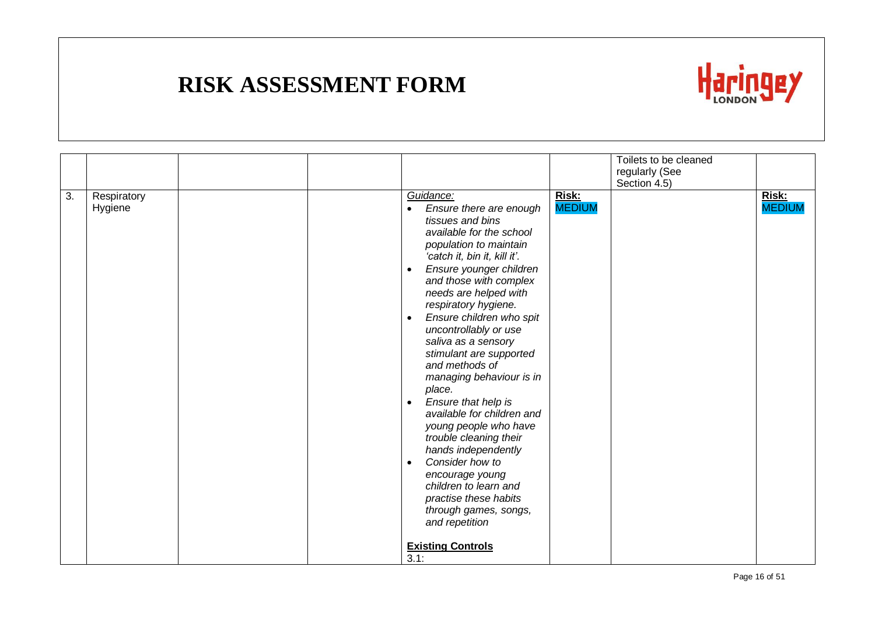

|                  |                        |  |                                                                                                                                                                                                                                                                                                                                                                                                                                                                                                                                                                                                                                                                                                                                                                       |                        | Toilets to be cleaned |                        |
|------------------|------------------------|--|-----------------------------------------------------------------------------------------------------------------------------------------------------------------------------------------------------------------------------------------------------------------------------------------------------------------------------------------------------------------------------------------------------------------------------------------------------------------------------------------------------------------------------------------------------------------------------------------------------------------------------------------------------------------------------------------------------------------------------------------------------------------------|------------------------|-----------------------|------------------------|
|                  |                        |  |                                                                                                                                                                                                                                                                                                                                                                                                                                                                                                                                                                                                                                                                                                                                                                       |                        | regularly (See        |                        |
|                  |                        |  |                                                                                                                                                                                                                                                                                                                                                                                                                                                                                                                                                                                                                                                                                                                                                                       |                        | Section 4.5)          |                        |
| $\overline{3}$ . | Respiratory<br>Hygiene |  | Guidance:<br>Ensure there are enough<br>tissues and bins<br>available for the school<br>population to maintain<br>'catch it, bin it, kill it'.<br>Ensure younger children<br>$\bullet$<br>and those with complex<br>needs are helped with<br>respiratory hygiene.<br>Ensure children who spit<br>$\bullet$<br>uncontrollably or use<br>saliva as a sensory<br>stimulant are supported<br>and methods of<br>managing behaviour is in<br>place.<br>Ensure that help is<br>$\bullet$<br>available for children and<br>young people who have<br>trouble cleaning their<br>hands independently<br>Consider how to<br>$\bullet$<br>encourage young<br>children to learn and<br>practise these habits<br>through games, songs,<br>and repetition<br><b>Existing Controls</b> | Risk:<br><b>MEDIUM</b> |                       | Risk:<br><b>MEDIUM</b> |
|                  |                        |  | 3.1:                                                                                                                                                                                                                                                                                                                                                                                                                                                                                                                                                                                                                                                                                                                                                                  |                        |                       |                        |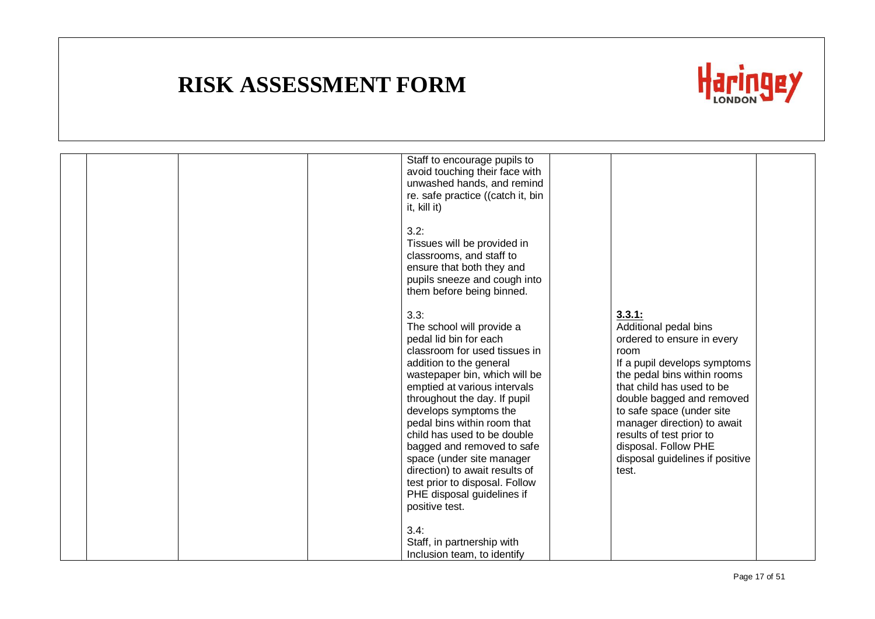

|  |  | Staff to encourage pupils to<br>avoid touching their face with<br>unwashed hands, and remind<br>re. safe practice ((catch it, bin<br>it, kill it)                                                                                                                                                                                                                                                                                                                                              |                                                                                                                                                                                                                                                                                                                                                            |  |
|--|--|------------------------------------------------------------------------------------------------------------------------------------------------------------------------------------------------------------------------------------------------------------------------------------------------------------------------------------------------------------------------------------------------------------------------------------------------------------------------------------------------|------------------------------------------------------------------------------------------------------------------------------------------------------------------------------------------------------------------------------------------------------------------------------------------------------------------------------------------------------------|--|
|  |  | 3.2:<br>Tissues will be provided in<br>classrooms, and staff to<br>ensure that both they and<br>pupils sneeze and cough into<br>them before being binned.                                                                                                                                                                                                                                                                                                                                      |                                                                                                                                                                                                                                                                                                                                                            |  |
|  |  | 3.3:<br>The school will provide a<br>pedal lid bin for each<br>classroom for used tissues in<br>addition to the general<br>wastepaper bin, which will be<br>emptied at various intervals<br>throughout the day. If pupil<br>develops symptoms the<br>pedal bins within room that<br>child has used to be double<br>bagged and removed to safe<br>space (under site manager<br>direction) to await results of<br>test prior to disposal. Follow<br>PHE disposal guidelines if<br>positive test. | 3.3.1:<br>Additional pedal bins<br>ordered to ensure in every<br>room<br>If a pupil develops symptoms<br>the pedal bins within rooms<br>that child has used to be<br>double bagged and removed<br>to safe space (under site<br>manager direction) to await<br>results of test prior to<br>disposal. Follow PHE<br>disposal guidelines if positive<br>test. |  |
|  |  | 3.4:<br>Staff, in partnership with<br>Inclusion team, to identify                                                                                                                                                                                                                                                                                                                                                                                                                              |                                                                                                                                                                                                                                                                                                                                                            |  |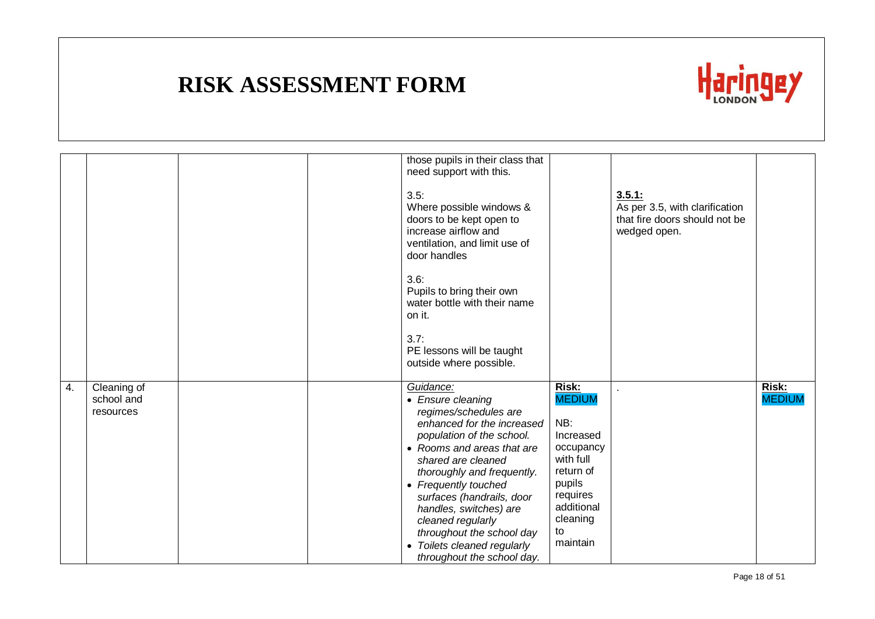

|    |                                        | those pupils in their class that<br>need support with this.                                                                                                                                                                                                                                                                                                                                        |                                                                                                                                                     |                                                                                           |                        |
|----|----------------------------------------|----------------------------------------------------------------------------------------------------------------------------------------------------------------------------------------------------------------------------------------------------------------------------------------------------------------------------------------------------------------------------------------------------|-----------------------------------------------------------------------------------------------------------------------------------------------------|-------------------------------------------------------------------------------------------|------------------------|
|    |                                        | 3.5:<br>Where possible windows &<br>doors to be kept open to<br>increase airflow and<br>ventilation, and limit use of<br>door handles                                                                                                                                                                                                                                                              |                                                                                                                                                     | 3.5.1:<br>As per 3.5, with clarification<br>that fire doors should not be<br>wedged open. |                        |
|    |                                        | 3.6:<br>Pupils to bring their own<br>water bottle with their name<br>on it.                                                                                                                                                                                                                                                                                                                        |                                                                                                                                                     |                                                                                           |                        |
|    |                                        | 3.7:<br>PE lessons will be taught<br>outside where possible.                                                                                                                                                                                                                                                                                                                                       |                                                                                                                                                     |                                                                                           |                        |
| 4. | Cleaning of<br>school and<br>resources | Guidance:<br>• Ensure cleaning<br>regimes/schedules are<br>enhanced for the increased<br>population of the school.<br>• Rooms and areas that are<br>shared are cleaned<br>thoroughly and frequently.<br>• Frequently touched<br>surfaces (handrails, door<br>handles, switches) are<br>cleaned regularly<br>throughout the school day<br>• Toilets cleaned regularly<br>throughout the school day. | Risk:<br><b>MEDIUM</b><br>NB:<br>Increased<br>occupancy<br>with full<br>return of<br>pupils<br>requires<br>additional<br>cleaning<br>to<br>maintain |                                                                                           | Risk:<br><b>MEDIUM</b> |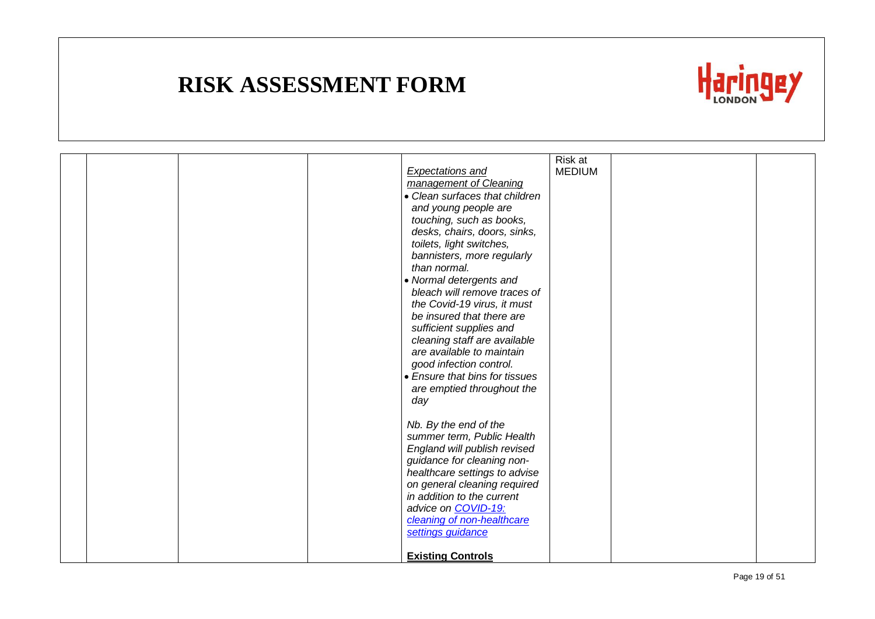

|  |  |                                                         | Risk at       |  |
|--|--|---------------------------------------------------------|---------------|--|
|  |  | <b>Expectations and</b>                                 | <b>MEDIUM</b> |  |
|  |  | management of Cleaning                                  |               |  |
|  |  | • Clean surfaces that children                          |               |  |
|  |  | and young people are                                    |               |  |
|  |  | touching, such as books,                                |               |  |
|  |  | desks, chairs, doors, sinks,                            |               |  |
|  |  | toilets, light switches,                                |               |  |
|  |  | bannisters, more regularly                              |               |  |
|  |  | than normal.                                            |               |  |
|  |  | • Normal detergents and<br>bleach will remove traces of |               |  |
|  |  | the Covid-19 virus, it must                             |               |  |
|  |  | be insured that there are                               |               |  |
|  |  | sufficient supplies and                                 |               |  |
|  |  | cleaning staff are available                            |               |  |
|  |  | are available to maintain                               |               |  |
|  |  | good infection control.                                 |               |  |
|  |  | • Ensure that bins for tissues                          |               |  |
|  |  | are emptied throughout the                              |               |  |
|  |  | day                                                     |               |  |
|  |  |                                                         |               |  |
|  |  | Nb. By the end of the                                   |               |  |
|  |  | summer term, Public Health                              |               |  |
|  |  | England will publish revised                            |               |  |
|  |  | guidance for cleaning non-                              |               |  |
|  |  | healthcare settings to advise                           |               |  |
|  |  | on general cleaning required                            |               |  |
|  |  | in addition to the current                              |               |  |
|  |  | advice on COVID-19:                                     |               |  |
|  |  | cleaning of non-healthcare                              |               |  |
|  |  | settings guidance                                       |               |  |
|  |  |                                                         |               |  |
|  |  | <b>Existing Controls</b>                                |               |  |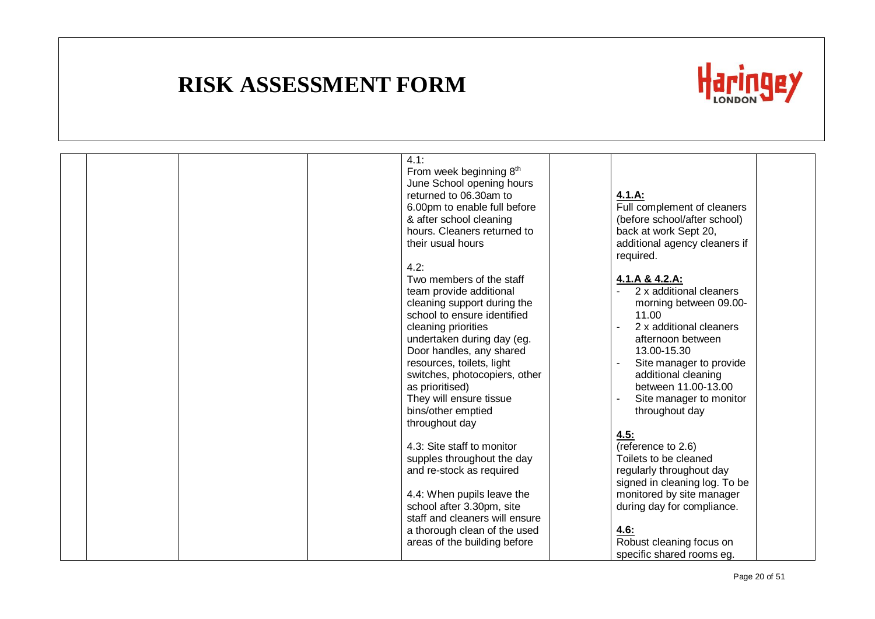

|  |  | 4.1:                           |                               |  |
|--|--|--------------------------------|-------------------------------|--|
|  |  | From week beginning 8th        |                               |  |
|  |  | June School opening hours      |                               |  |
|  |  |                                |                               |  |
|  |  | returned to 06.30am to         | 4.1.A:                        |  |
|  |  | 6.00pm to enable full before   | Full complement of cleaners   |  |
|  |  | & after school cleaning        | (before school/after school)  |  |
|  |  | hours. Cleaners returned to    | back at work Sept 20,         |  |
|  |  | their usual hours              | additional agency cleaners if |  |
|  |  |                                | required.                     |  |
|  |  | 4.2:                           |                               |  |
|  |  | Two members of the staff       | 4.1.A & 4.2.A:                |  |
|  |  | team provide additional        | 2 x additional cleaners       |  |
|  |  | cleaning support during the    | morning between 09.00-        |  |
|  |  | school to ensure identified    | 11.00                         |  |
|  |  | cleaning priorities            | 2 x additional cleaners       |  |
|  |  | undertaken during day (eg.     | afternoon between             |  |
|  |  | Door handles, any shared       | 13.00-15.30                   |  |
|  |  | resources, toilets, light      | Site manager to provide       |  |
|  |  | switches, photocopiers, other  | additional cleaning           |  |
|  |  |                                |                               |  |
|  |  | as prioritised)                | between 11.00-13.00           |  |
|  |  | They will ensure tissue        | Site manager to monitor       |  |
|  |  | bins/other emptied             | throughout day                |  |
|  |  | throughout day                 |                               |  |
|  |  |                                | 4.5:                          |  |
|  |  | 4.3: Site staff to monitor     | (reference to 2.6)            |  |
|  |  | supples throughout the day     | Toilets to be cleaned         |  |
|  |  | and re-stock as required       | regularly throughout day      |  |
|  |  |                                | signed in cleaning log. To be |  |
|  |  | 4.4: When pupils leave the     | monitored by site manager     |  |
|  |  | school after 3.30pm, site      | during day for compliance.    |  |
|  |  | staff and cleaners will ensure |                               |  |
|  |  | a thorough clean of the used   | 4.6:                          |  |
|  |  | areas of the building before   | Robust cleaning focus on      |  |
|  |  |                                | specific shared rooms eq.     |  |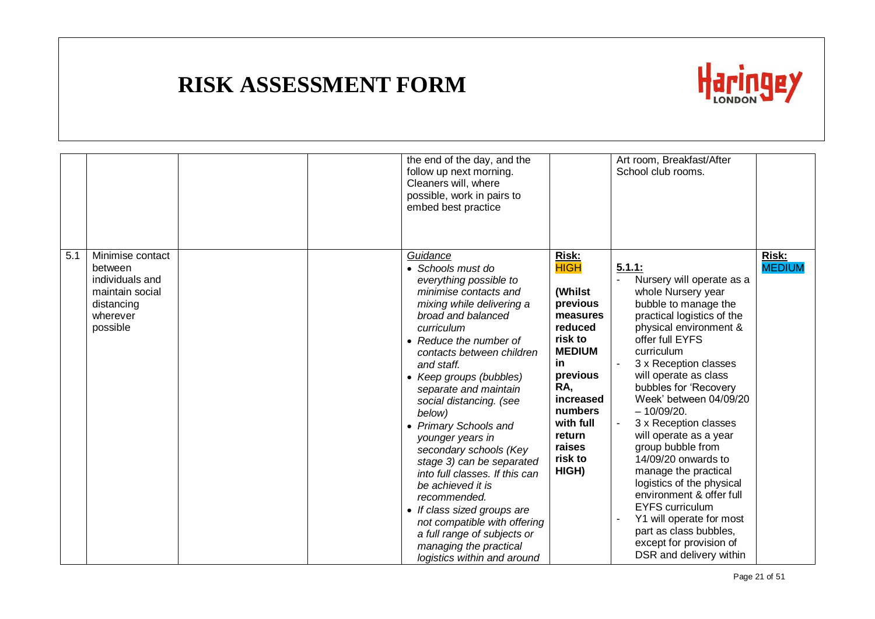

|     |                                                                                                         | the end of the day, and the<br>follow up next morning.<br>Cleaners will, where<br>possible, work in pairs to<br>embed best practice                                                                                                                                                                                                                                                                                                                                                                                                                                                                                                               |                                                                                                                                                                                                             | Art room, Breakfast/After<br>School club rooms.                                                                                                                                                                                                                                                                                                                                                                                                                                                                                                                                                                       |                               |
|-----|---------------------------------------------------------------------------------------------------------|---------------------------------------------------------------------------------------------------------------------------------------------------------------------------------------------------------------------------------------------------------------------------------------------------------------------------------------------------------------------------------------------------------------------------------------------------------------------------------------------------------------------------------------------------------------------------------------------------------------------------------------------------|-------------------------------------------------------------------------------------------------------------------------------------------------------------------------------------------------------------|-----------------------------------------------------------------------------------------------------------------------------------------------------------------------------------------------------------------------------------------------------------------------------------------------------------------------------------------------------------------------------------------------------------------------------------------------------------------------------------------------------------------------------------------------------------------------------------------------------------------------|-------------------------------|
| 5.1 | Minimise contact<br>between<br>individuals and<br>maintain social<br>distancing<br>wherever<br>possible | Guidance<br>• Schools must do<br>everything possible to<br>minimise contacts and<br>mixing while delivering a<br>broad and balanced<br>curriculum<br>• Reduce the number of<br>contacts between children<br>and staff.<br>• Keep groups (bubbles)<br>separate and maintain<br>social distancing. (see<br>below)<br>• Primary Schools and<br>younger years in<br>secondary schools (Key<br>stage 3) can be separated<br>into full classes. If this can<br>be achieved it is<br>recommended.<br>• If class sized groups are<br>not compatible with offering<br>a full range of subjects or<br>managing the practical<br>logistics within and around | <b>Risk:</b><br><b>HIGH</b><br>(Whilst<br>previous<br>measures<br>reduced<br>risk to<br><b>MEDIUM</b><br>in<br>previous<br>RA,<br>increased<br>numbers<br>with full<br>return<br>raises<br>risk to<br>HIGH) | 5.1.1:<br>Nursery will operate as a<br>whole Nursery year<br>bubble to manage the<br>practical logistics of the<br>physical environment &<br>offer full EYFS<br>curriculum<br>3 x Reception classes<br>will operate as class<br>bubbles for 'Recovery<br>Week' between 04/09/20<br>$-10/09/20.$<br>3 x Reception classes<br>will operate as a year<br>group bubble from<br>14/09/20 onwards to<br>manage the practical<br>logistics of the physical<br>environment & offer full<br><b>EYFS</b> curriculum<br>Y1 will operate for most<br>part as class bubbles,<br>except for provision of<br>DSR and delivery within | <b>Risk:</b><br><b>MEDIUM</b> |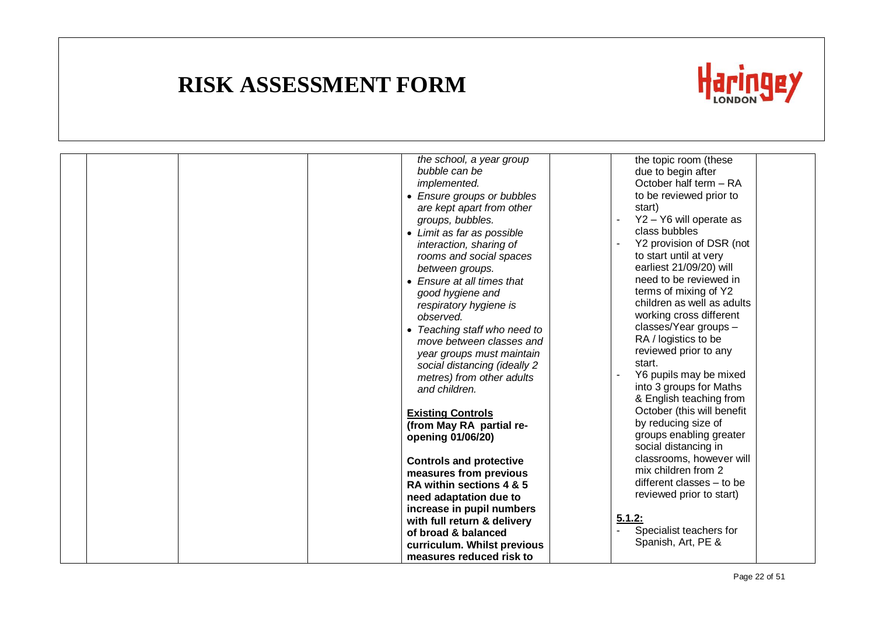

| the school, a year group<br>bubble can be<br>implemented.<br>• Ensure groups or bubbles<br>are kept apart from other<br>groups, bubbles.<br>• Limit as far as possible<br>interaction, sharing of<br>rooms and social spaces<br>between groups.<br>• Ensure at all times that<br>good hygiene and<br>respiratory hygiene is<br>observed.<br>• Teaching staff who need to<br>move between classes and<br>year groups must maintain<br>social distancing (ideally 2<br>metres) from other adults<br>and children.<br><b>Existing Controls</b><br>(from May RA partial re-<br>opening 01/06/20)<br><b>Controls and protective</b><br>measures from previous<br>RA within sections 4 & 5<br>need adaptation due to<br>increase in pupil numbers<br>with full return & delivery<br>of broad & balanced<br>curriculum. Whilst previous<br>measures reduced risk to | the topic room (these<br>due to begin after<br>October half term - RA<br>to be reviewed prior to<br>start)<br>Y2 - Y6 will operate as<br>class bubbles<br>Y2 provision of DSR (not<br>to start until at very<br>earliest 21/09/20) will<br>need to be reviewed in<br>terms of mixing of Y2<br>children as well as adults<br>working cross different<br>classes/Year groups -<br>RA / logistics to be<br>reviewed prior to any<br>start.<br>Y6 pupils may be mixed<br>into 3 groups for Maths<br>& English teaching from<br>October (this will benefit<br>by reducing size of<br>groups enabling greater<br>social distancing in<br>classrooms, however will<br>mix children from 2<br>different classes - to be<br>reviewed prior to start)<br>5.1.2:<br>Specialist teachers for<br>Spanish, Art, PE & |  |
|--------------------------------------------------------------------------------------------------------------------------------------------------------------------------------------------------------------------------------------------------------------------------------------------------------------------------------------------------------------------------------------------------------------------------------------------------------------------------------------------------------------------------------------------------------------------------------------------------------------------------------------------------------------------------------------------------------------------------------------------------------------------------------------------------------------------------------------------------------------|--------------------------------------------------------------------------------------------------------------------------------------------------------------------------------------------------------------------------------------------------------------------------------------------------------------------------------------------------------------------------------------------------------------------------------------------------------------------------------------------------------------------------------------------------------------------------------------------------------------------------------------------------------------------------------------------------------------------------------------------------------------------------------------------------------|--|
|                                                                                                                                                                                                                                                                                                                                                                                                                                                                                                                                                                                                                                                                                                                                                                                                                                                              |                                                                                                                                                                                                                                                                                                                                                                                                                                                                                                                                                                                                                                                                                                                                                                                                        |  |
|                                                                                                                                                                                                                                                                                                                                                                                                                                                                                                                                                                                                                                                                                                                                                                                                                                                              |                                                                                                                                                                                                                                                                                                                                                                                                                                                                                                                                                                                                                                                                                                                                                                                                        |  |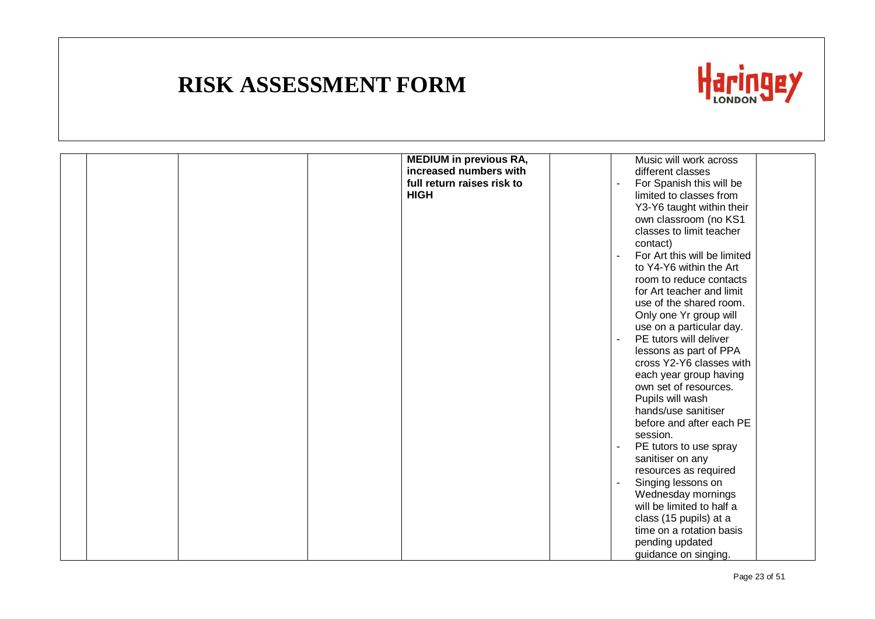

| <b>MEDIUM in previous RA,</b><br>increased numbers with | Music will work across<br>different classes    |
|---------------------------------------------------------|------------------------------------------------|
| full return raises risk to                              |                                                |
|                                                         | For Spanish this will be                       |
| <b>HIGH</b>                                             | limited to classes from                        |
|                                                         | Y3-Y6 taught within their                      |
|                                                         | own classroom (no KS1                          |
|                                                         | classes to limit teacher                       |
|                                                         | contact)                                       |
|                                                         | For Art this will be limited<br>$\blacksquare$ |
|                                                         | to Y4-Y6 within the Art                        |
|                                                         | room to reduce contacts                        |
|                                                         | for Art teacher and limit                      |
|                                                         | use of the shared room.                        |
|                                                         | Only one Yr group will                         |
|                                                         | use on a particular day.                       |
|                                                         | PE tutors will deliver                         |
|                                                         | lessons as part of PPA                         |
|                                                         | cross Y2-Y6 classes with                       |
|                                                         | each year group having                         |
|                                                         | own set of resources.                          |
|                                                         | Pupils will wash                               |
|                                                         | hands/use sanitiser                            |
|                                                         | before and after each PE                       |
|                                                         | session.                                       |
|                                                         | PE tutors to use spray                         |
|                                                         | sanitiser on any                               |
|                                                         | resources as required                          |
|                                                         | Singing lessons on                             |
|                                                         | Wednesday mornings                             |
|                                                         | will be limited to half a                      |
|                                                         | class (15 pupils) at a                         |
|                                                         | time on a rotation basis                       |
|                                                         | pending updated                                |
|                                                         | guidance on singing.                           |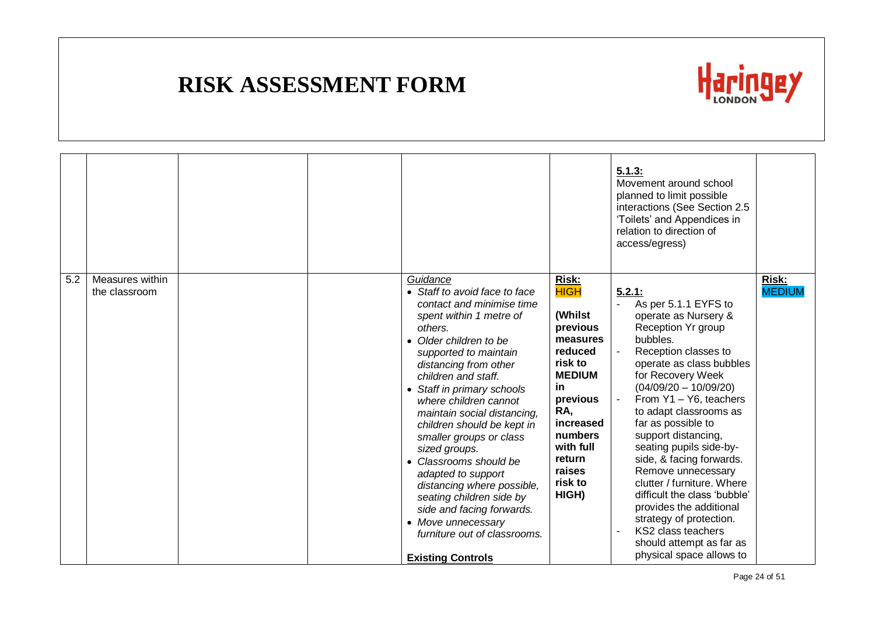

|     |                                  |  |                                                                                                                                                                                                                                                                                                                                                                                                                                                                                                                                                                                                      |                                                                                                                                                                                                      | 5.1.3:<br>Movement around school<br>planned to limit possible<br>interactions (See Section 2.5<br>'Toilets' and Appendices in<br>relation to direction of<br>access/egress)                                                                                                                                                                                                                                                                                                                                                                                                  |                        |
|-----|----------------------------------|--|------------------------------------------------------------------------------------------------------------------------------------------------------------------------------------------------------------------------------------------------------------------------------------------------------------------------------------------------------------------------------------------------------------------------------------------------------------------------------------------------------------------------------------------------------------------------------------------------------|------------------------------------------------------------------------------------------------------------------------------------------------------------------------------------------------------|------------------------------------------------------------------------------------------------------------------------------------------------------------------------------------------------------------------------------------------------------------------------------------------------------------------------------------------------------------------------------------------------------------------------------------------------------------------------------------------------------------------------------------------------------------------------------|------------------------|
| 5.2 | Measures within<br>the classroom |  | Guidance<br>• Staff to avoid face to face<br>contact and minimise time<br>spent within 1 metre of<br>others.<br>Older children to be<br>supported to maintain<br>distancing from other<br>children and staff.<br>• Staff in primary schools<br>where children cannot<br>maintain social distancing,<br>children should be kept in<br>smaller groups or class<br>sized groups.<br>Classrooms should be<br>adapted to support<br>distancing where possible,<br>seating children side by<br>side and facing forwards.<br>• Move unnecessary<br>furniture out of classrooms.<br><b>Existing Controls</b> | Risk:<br><b>HIGH</b><br>(Whilst<br>previous<br>measures<br>reduced<br>risk to<br><b>MEDIUM</b><br>in<br>previous<br>RA,<br>increased<br>numbers<br>with full<br>return<br>raises<br>risk to<br>HIGH) | 5.2.1:<br>As per 5.1.1 EYFS to<br>operate as Nursery &<br>Reception Yr group<br>bubbles.<br>Reception classes to<br>operate as class bubbles<br>for Recovery Week<br>$(04/09/20 - 10/09/20)$<br>From Y1 - Y6, teachers<br>to adapt classrooms as<br>far as possible to<br>support distancing,<br>seating pupils side-by-<br>side, & facing forwards.<br>Remove unnecessary<br>clutter / furniture. Where<br>difficult the class 'bubble'<br>provides the additional<br>strategy of protection.<br>KS2 class teachers<br>should attempt as far as<br>physical space allows to | Risk:<br><b>MEDIUM</b> |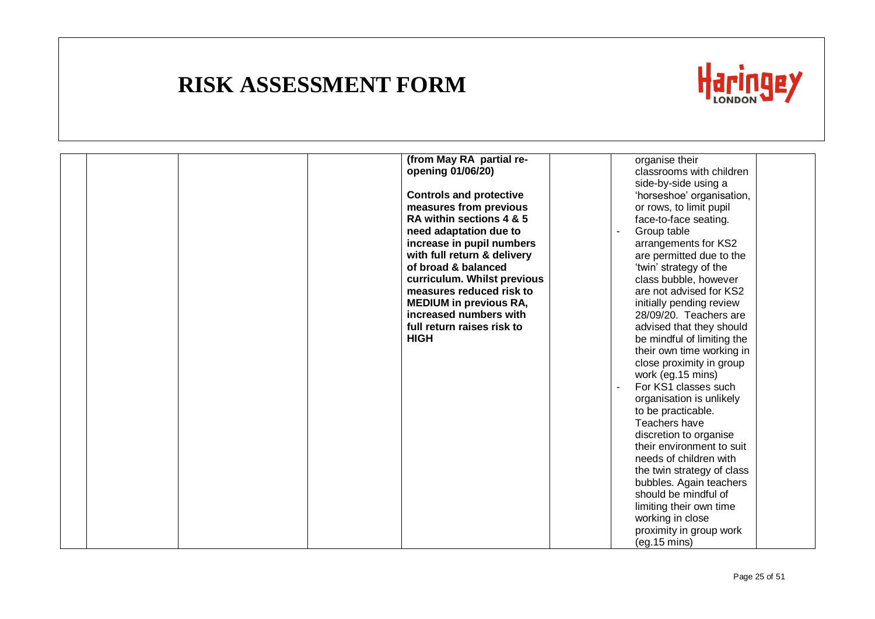

|  |  | (from May RA partial re-       | organise their                                      |  |
|--|--|--------------------------------|-----------------------------------------------------|--|
|  |  | opening 01/06/20)              | classrooms with children                            |  |
|  |  |                                |                                                     |  |
|  |  |                                | side-by-side using a                                |  |
|  |  | <b>Controls and protective</b> | 'horseshoe' organisation,                           |  |
|  |  | measures from previous         | or rows, to limit pupil                             |  |
|  |  | RA within sections 4 & 5       | face-to-face seating.                               |  |
|  |  | need adaptation due to         | Group table                                         |  |
|  |  | increase in pupil numbers      | arrangements for KS2                                |  |
|  |  | with full return & delivery    | are permitted due to the                            |  |
|  |  | of broad & balanced            | 'twin' strategy of the                              |  |
|  |  | curriculum. Whilst previous    | class bubble, however                               |  |
|  |  | measures reduced risk to       | are not advised for KS2                             |  |
|  |  | <b>MEDIUM</b> in previous RA,  | initially pending review                            |  |
|  |  | increased numbers with         | 28/09/20. Teachers are                              |  |
|  |  | full return raises risk to     | advised that they should                            |  |
|  |  | <b>HIGH</b>                    | be mindful of limiting the                          |  |
|  |  |                                | their own time working in                           |  |
|  |  |                                | close proximity in group                            |  |
|  |  |                                | work (eg. 15 mins)                                  |  |
|  |  |                                | For KS1 classes such                                |  |
|  |  |                                | organisation is unlikely                            |  |
|  |  |                                | to be practicable.                                  |  |
|  |  |                                | Teachers have                                       |  |
|  |  |                                |                                                     |  |
|  |  |                                | discretion to organise<br>their environment to suit |  |
|  |  |                                |                                                     |  |
|  |  |                                | needs of children with                              |  |
|  |  |                                | the twin strategy of class                          |  |
|  |  |                                | bubbles. Again teachers                             |  |
|  |  |                                | should be mindful of                                |  |
|  |  |                                | limiting their own time                             |  |
|  |  |                                | working in close                                    |  |
|  |  |                                | proximity in group work                             |  |
|  |  |                                | (eq.15 mins)                                        |  |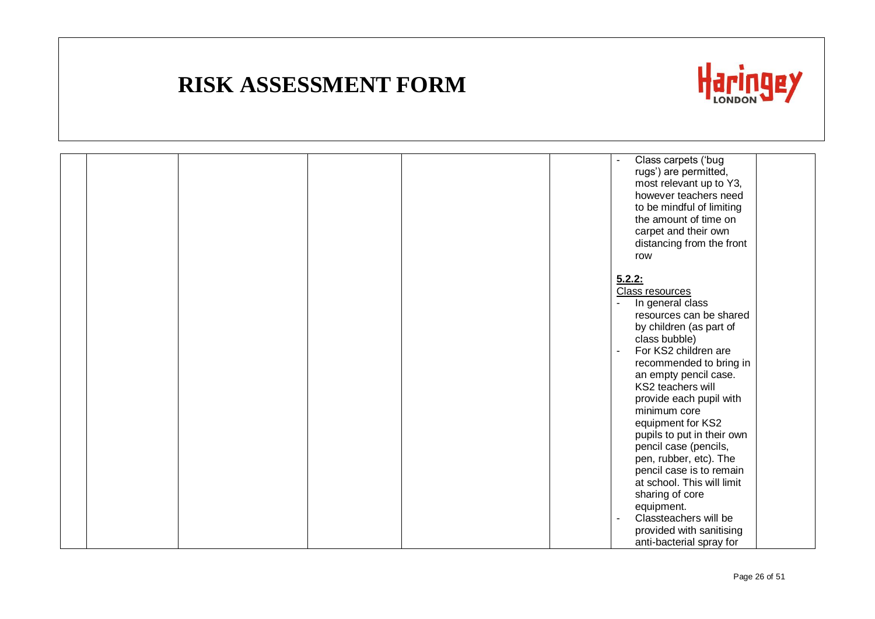

|  |  |  | Class carpets ('bug<br>rugs') are permitted,<br>most relevant up to Y3,<br>however teachers need<br>to be mindful of limiting<br>the amount of time on<br>carpet and their own<br>distancing from the front<br>row                                                                                                                                                                                                                                                       |
|--|--|--|--------------------------------------------------------------------------------------------------------------------------------------------------------------------------------------------------------------------------------------------------------------------------------------------------------------------------------------------------------------------------------------------------------------------------------------------------------------------------|
|  |  |  | 5.2.2:<br><b>Class resources</b><br>In general class<br>resources can be shared<br>by children (as part of<br>class bubble)<br>For KS2 children are<br>recommended to bring in<br>an empty pencil case.<br>KS2 teachers will<br>provide each pupil with<br>minimum core<br>equipment for KS2<br>pupils to put in their own<br>pencil case (pencils,<br>pen, rubber, etc). The<br>pencil case is to remain<br>at school. This will limit<br>sharing of core<br>equipment. |
|  |  |  | Classteachers will be<br>provided with sanitising<br>anti-bacterial spray for                                                                                                                                                                                                                                                                                                                                                                                            |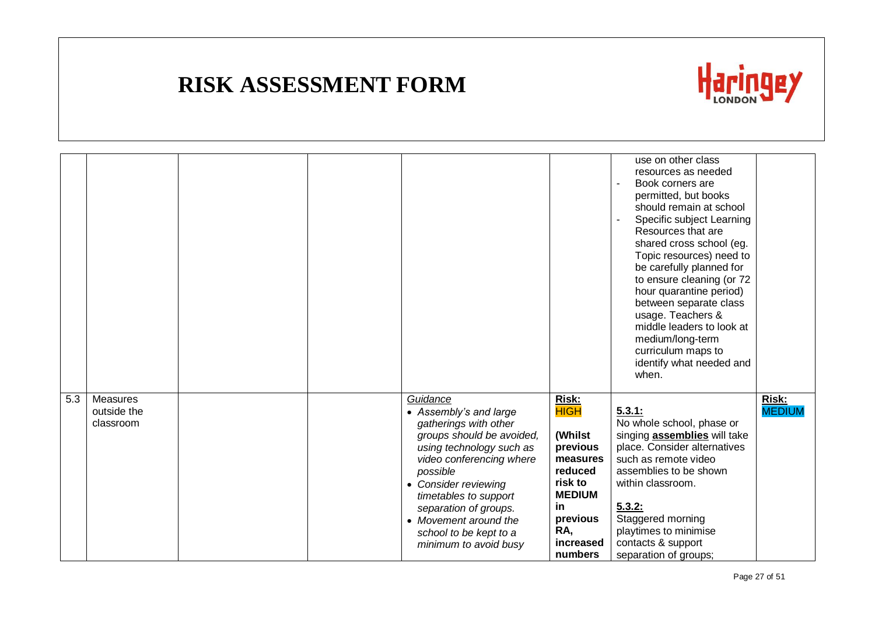

|     |                                      |  |                                                                                                                                                                                                                                                                                                                    |                                                                                                                                                        | use on other class<br>resources as needed<br>Book corners are<br>permitted, but books<br>should remain at school<br>Specific subject Learning<br>Resources that are<br>shared cross school (eg.<br>Topic resources) need to<br>be carefully planned for<br>to ensure cleaning (or 72<br>hour quarantine period)<br>between separate class<br>usage. Teachers &<br>middle leaders to look at<br>medium/long-term<br>curriculum maps to<br>identify what needed and<br>when. |                        |
|-----|--------------------------------------|--|--------------------------------------------------------------------------------------------------------------------------------------------------------------------------------------------------------------------------------------------------------------------------------------------------------------------|--------------------------------------------------------------------------------------------------------------------------------------------------------|----------------------------------------------------------------------------------------------------------------------------------------------------------------------------------------------------------------------------------------------------------------------------------------------------------------------------------------------------------------------------------------------------------------------------------------------------------------------------|------------------------|
| 5.3 | Measures<br>outside the<br>classroom |  | Guidance<br>• Assembly's and large<br>gatherings with other<br>groups should be avoided,<br>using technology such as<br>video conferencing where<br>possible<br>• Consider reviewing<br>timetables to support<br>separation of groups.<br>• Movement around the<br>school to be kept to a<br>minimum to avoid busy | <b>Risk:</b><br><b>HIGH</b><br>(Whilst<br>previous<br>measures<br>reduced<br>risk to<br><b>MEDIUM</b><br>in<br>previous<br>RA,<br>increased<br>numbers | 5.3.1:<br>No whole school, phase or<br>singing <b>assemblies</b> will take<br>place. Consider alternatives<br>such as remote video<br>assemblies to be shown<br>within classroom.<br>5.3.2:<br>Staggered morning<br>playtimes to minimise<br>contacts & support<br>separation of groups;                                                                                                                                                                                   | Risk:<br><b>MEDIUM</b> |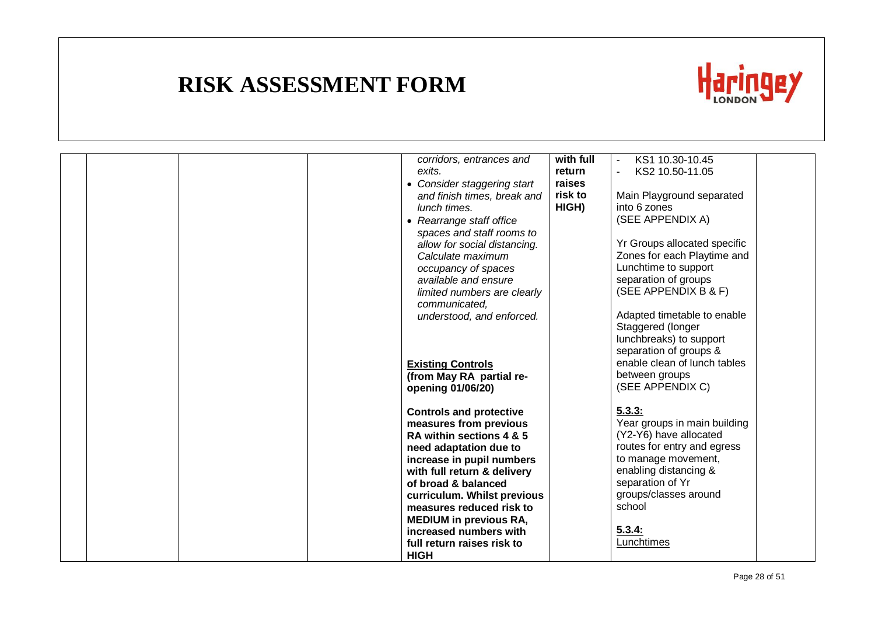

|  |  | corridors, entrances and       | with full | KS1 10.30-10.45              |  |
|--|--|--------------------------------|-----------|------------------------------|--|
|  |  | exits.                         | return    | KS2 10.50-11.05              |  |
|  |  | • Consider staggering start    | raises    |                              |  |
|  |  | and finish times, break and    | risk to   | Main Playground separated    |  |
|  |  | lunch times.                   | HIGH)     | into 6 zones                 |  |
|  |  | • Rearrange staff office       |           | (SEE APPENDIX A)             |  |
|  |  | spaces and staff rooms to      |           |                              |  |
|  |  | allow for social distancing.   |           | Yr Groups allocated specific |  |
|  |  | Calculate maximum              |           | Zones for each Playtime and  |  |
|  |  | occupancy of spaces            |           | Lunchtime to support         |  |
|  |  | available and ensure           |           | separation of groups         |  |
|  |  |                                |           | (SEE APPENDIX B & F)         |  |
|  |  | limited numbers are clearly    |           |                              |  |
|  |  | communicated,                  |           |                              |  |
|  |  | understood, and enforced.      |           | Adapted timetable to enable  |  |
|  |  |                                |           | Staggered (longer            |  |
|  |  |                                |           | lunchbreaks) to support      |  |
|  |  |                                |           | separation of groups &       |  |
|  |  | <b>Existing Controls</b>       |           | enable clean of lunch tables |  |
|  |  | (from May RA partial re-       |           | between groups               |  |
|  |  | opening 01/06/20)              |           | (SEE APPENDIX C)             |  |
|  |  |                                |           |                              |  |
|  |  | <b>Controls and protective</b> |           | 5.3.3:                       |  |
|  |  | measures from previous         |           | Year groups in main building |  |
|  |  | RA within sections 4 & 5       |           | (Y2-Y6) have allocated       |  |
|  |  | need adaptation due to         |           | routes for entry and egress  |  |
|  |  | increase in pupil numbers      |           | to manage movement,          |  |
|  |  | with full return & delivery    |           | enabling distancing &        |  |
|  |  | of broad & balanced            |           | separation of Yr             |  |
|  |  | curriculum. Whilst previous    |           | groups/classes around        |  |
|  |  | measures reduced risk to       |           | school                       |  |
|  |  | <b>MEDIUM</b> in previous RA,  |           |                              |  |
|  |  | increased numbers with         |           | 5.3.4:                       |  |
|  |  | full return raises risk to     |           | Lunchtimes                   |  |
|  |  | <b>HIGH</b>                    |           |                              |  |
|  |  |                                |           |                              |  |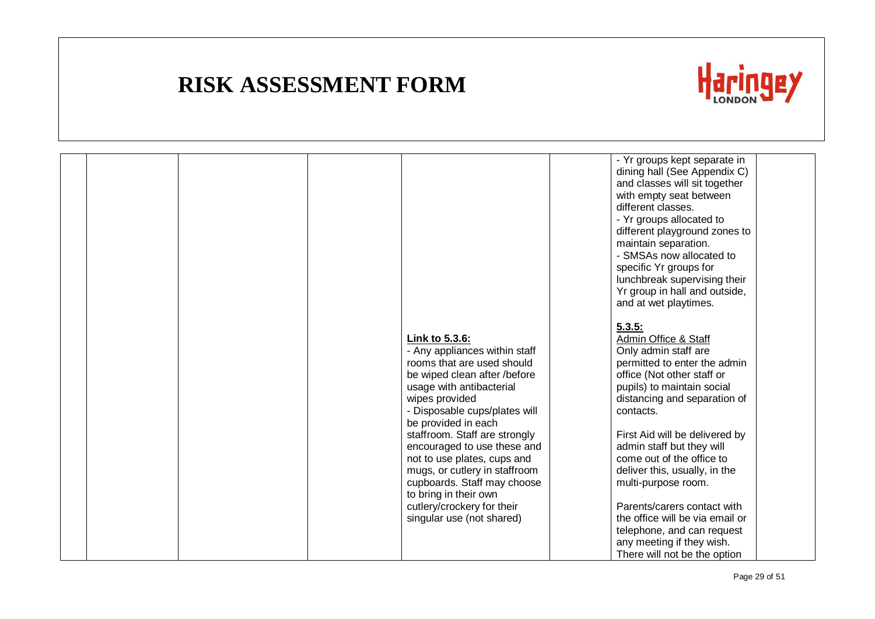

|  |  |                                                                                                                                                                                                                     | - Yr groups kept separate in<br>dining hall (See Appendix C)<br>and classes will sit together<br>with empty seat between<br>different classes.<br>- Yr groups allocated to<br>different playground zones to<br>maintain separation.<br>- SMSAs now allocated to<br>specific Yr groups for<br>lunchbreak supervising their<br>Yr group in hall and outside,<br>and at wet playtimes. |  |
|--|--|---------------------------------------------------------------------------------------------------------------------------------------------------------------------------------------------------------------------|-------------------------------------------------------------------------------------------------------------------------------------------------------------------------------------------------------------------------------------------------------------------------------------------------------------------------------------------------------------------------------------|--|
|  |  | Link to 5.3.6:<br>- Any appliances within staff<br>rooms that are used should<br>be wiped clean after /before<br>usage with antibacterial<br>wipes provided<br>- Disposable cups/plates will<br>be provided in each | 5.3.5:<br>Admin Office & Staff<br>Only admin staff are<br>permitted to enter the admin<br>office (Not other staff or<br>pupils) to maintain social<br>distancing and separation of<br>contacts.                                                                                                                                                                                     |  |
|  |  | staffroom. Staff are strongly<br>encouraged to use these and<br>not to use plates, cups and<br>mugs, or cutlery in staffroom<br>cupboards. Staff may choose<br>to bring in their own                                | First Aid will be delivered by<br>admin staff but they will<br>come out of the office to<br>deliver this, usually, in the<br>multi-purpose room.                                                                                                                                                                                                                                    |  |
|  |  | cutlery/crockery for their<br>singular use (not shared)                                                                                                                                                             | Parents/carers contact with<br>the office will be via email or<br>telephone, and can request<br>any meeting if they wish.<br>There will not be the option                                                                                                                                                                                                                           |  |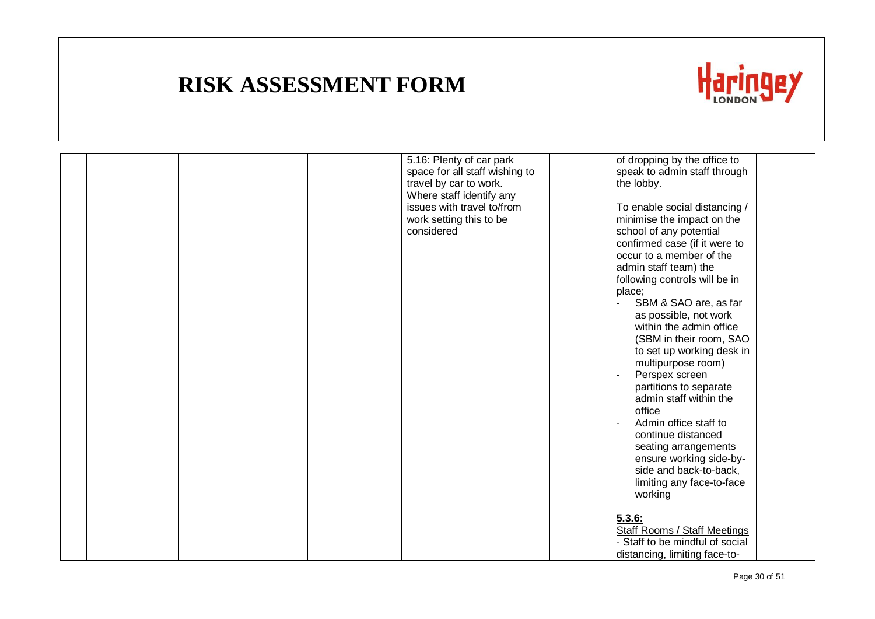

|  |  | 5.16: Plenty of car park<br>space for all staff wishing to<br>travel by car to work.<br>Where staff identify any<br>issues with travel to/from<br>work setting this to be<br>considered | of dropping by the office to<br>speak to admin staff through<br>the lobby.<br>To enable social distancing /<br>minimise the impact on the<br>school of any potential<br>confirmed case (if it were to<br>occur to a member of the<br>admin staff team) the<br>following controls will be in<br>place;<br>SBM & SAO are, as far<br>as possible, not work<br>within the admin office<br>(SBM in their room, SAO<br>to set up working desk in<br>multipurpose room)<br>Perspex screen |  |
|--|--|-----------------------------------------------------------------------------------------------------------------------------------------------------------------------------------------|------------------------------------------------------------------------------------------------------------------------------------------------------------------------------------------------------------------------------------------------------------------------------------------------------------------------------------------------------------------------------------------------------------------------------------------------------------------------------------|--|
|  |  |                                                                                                                                                                                         | admin staff within the<br>office<br>Admin office staff to<br>continue distanced<br>seating arrangements<br>ensure working side-by-<br>side and back-to-back,<br>limiting any face-to-face<br>working                                                                                                                                                                                                                                                                               |  |
|  |  |                                                                                                                                                                                         | 5.3.6:<br><b>Staff Rooms / Staff Meetings</b><br>- Staff to be mindful of social<br>distancing, limiting face-to-                                                                                                                                                                                                                                                                                                                                                                  |  |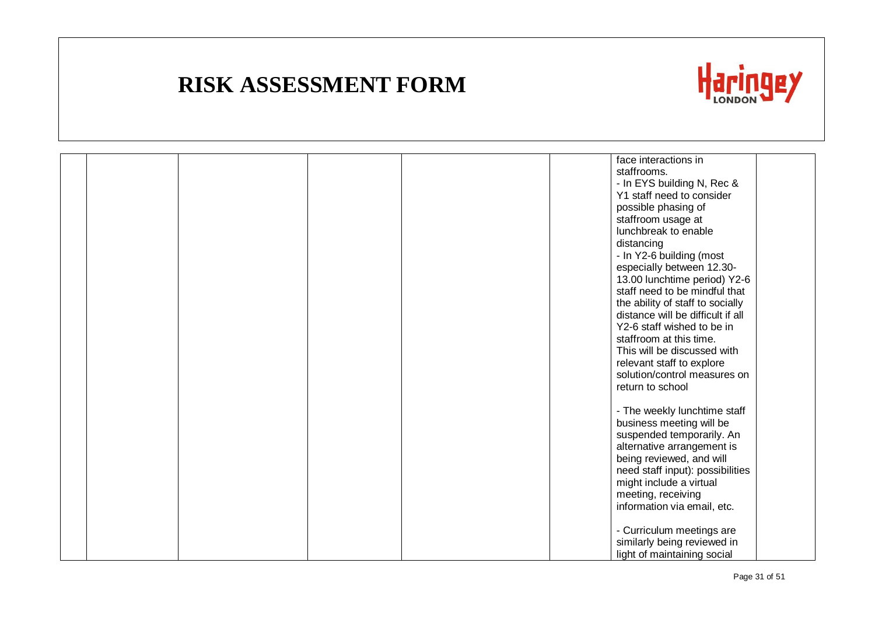

|  |  |  | face interactions in                                                  |  |
|--|--|--|-----------------------------------------------------------------------|--|
|  |  |  | staffrooms.                                                           |  |
|  |  |  | - In EYS building N, Rec &                                            |  |
|  |  |  | Y1 staff need to consider                                             |  |
|  |  |  | possible phasing of                                                   |  |
|  |  |  | staffroom usage at                                                    |  |
|  |  |  | lunchbreak to enable                                                  |  |
|  |  |  | distancing                                                            |  |
|  |  |  | - In Y2-6 building (most                                              |  |
|  |  |  | especially between 12.30-                                             |  |
|  |  |  | 13.00 lunchtime period) Y2-6                                          |  |
|  |  |  | staff need to be mindful that                                         |  |
|  |  |  |                                                                       |  |
|  |  |  | the ability of staff to socially<br>distance will be difficult if all |  |
|  |  |  |                                                                       |  |
|  |  |  | Y2-6 staff wished to be in                                            |  |
|  |  |  | staffroom at this time.                                               |  |
|  |  |  | This will be discussed with                                           |  |
|  |  |  | relevant staff to explore                                             |  |
|  |  |  | solution/control measures on                                          |  |
|  |  |  | return to school                                                      |  |
|  |  |  |                                                                       |  |
|  |  |  | - The weekly lunchtime staff                                          |  |
|  |  |  | business meeting will be                                              |  |
|  |  |  | suspended temporarily. An                                             |  |
|  |  |  | alternative arrangement is                                            |  |
|  |  |  | being reviewed, and will                                              |  |
|  |  |  | need staff input): possibilities                                      |  |
|  |  |  | might include a virtual                                               |  |
|  |  |  | meeting, receiving                                                    |  |
|  |  |  | information via email, etc.                                           |  |
|  |  |  |                                                                       |  |
|  |  |  | - Curriculum meetings are                                             |  |
|  |  |  | similarly being reviewed in                                           |  |
|  |  |  | light of maintaining social                                           |  |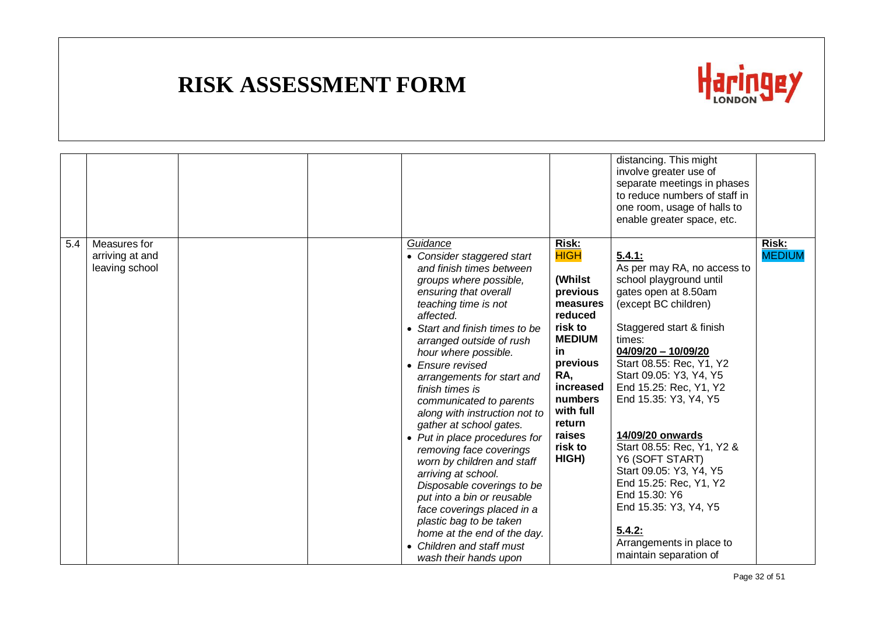

|     |                                                   |  |                                                                                                                                                                                                                                                                                                                                                                                                                                                                                                                                                                                                                                                                                                                                         |                                                                                                                                                                                                      | distancing. This might<br>involve greater use of<br>separate meetings in phases<br>to reduce numbers of staff in<br>one room, usage of halls to<br>enable greater space, etc.                                                                                                                                                                                                                                                                                                                                               |                        |
|-----|---------------------------------------------------|--|-----------------------------------------------------------------------------------------------------------------------------------------------------------------------------------------------------------------------------------------------------------------------------------------------------------------------------------------------------------------------------------------------------------------------------------------------------------------------------------------------------------------------------------------------------------------------------------------------------------------------------------------------------------------------------------------------------------------------------------------|------------------------------------------------------------------------------------------------------------------------------------------------------------------------------------------------------|-----------------------------------------------------------------------------------------------------------------------------------------------------------------------------------------------------------------------------------------------------------------------------------------------------------------------------------------------------------------------------------------------------------------------------------------------------------------------------------------------------------------------------|------------------------|
| 5.4 | Measures for<br>arriving at and<br>leaving school |  | Guidance<br>• Consider staggered start<br>and finish times between<br>groups where possible,<br>ensuring that overall<br>teaching time is not<br>affected.<br>• Start and finish times to be<br>arranged outside of rush<br>hour where possible.<br>• Ensure revised<br>arrangements for start and<br>finish times is<br>communicated to parents<br>along with instruction not to<br>gather at school gates.<br>• Put in place procedures for<br>removing face coverings<br>worn by children and staff<br>arriving at school.<br>Disposable coverings to be<br>put into a bin or reusable<br>face coverings placed in a<br>plastic bag to be taken<br>home at the end of the day.<br>• Children and staff must<br>wash their hands upon | Risk:<br><b>HIGH</b><br>(Whilst<br>previous<br>measures<br>reduced<br>risk to<br><b>MEDIUM</b><br>in<br>previous<br>RA,<br>increased<br>numbers<br>with full<br>return<br>raises<br>risk to<br>HIGH) | 5.4.1:<br>As per may RA, no access to<br>school playground until<br>gates open at 8.50am<br>(except BC children)<br>Staggered start & finish<br>times:<br>04/09/20 - 10/09/20<br>Start 08.55: Rec, Y1, Y2<br>Start 09.05: Y3, Y4, Y5<br>End 15.25: Rec, Y1, Y2<br>End 15.35: Y3, Y4, Y5<br>14/09/20 onwards<br>Start 08.55: Rec, Y1, Y2 &<br>Y6 (SOFT START)<br>Start 09.05: Y3, Y4, Y5<br>End 15.25: Rec, Y1, Y2<br>End 15.30: Y6<br>End 15.35: Y3, Y4, Y5<br>5.4.2:<br>Arrangements in place to<br>maintain separation of | Risk:<br><b>MEDIUM</b> |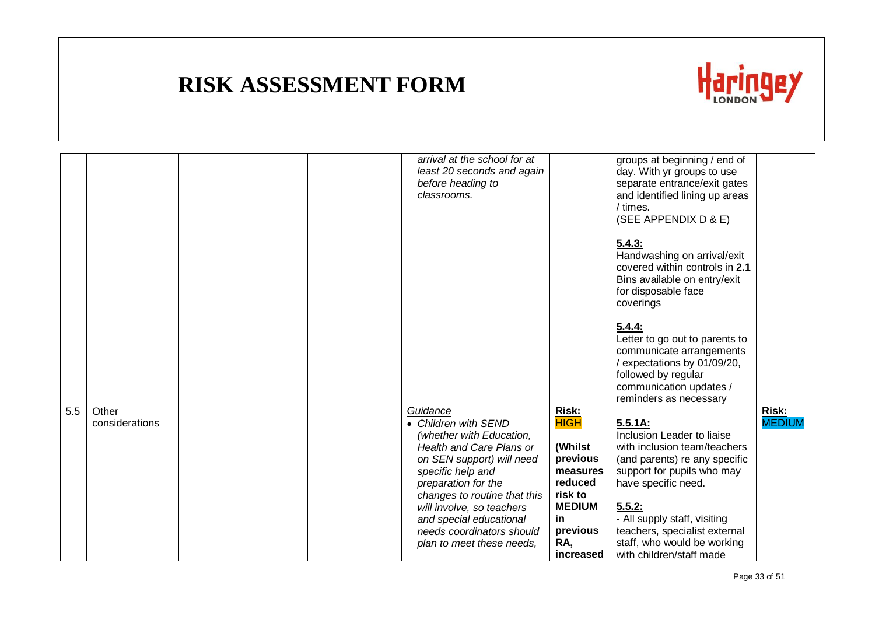

|     |                         | arrival at the school for at<br>least 20 seconds and again<br>before heading to<br>classrooms.                                                                                                                                                                                                                      |                                                                                                                                              | groups at beginning / end of<br>day. With yr groups to use<br>separate entrance/exit gates<br>and identified lining up areas<br>/ times.<br>(SEE APPENDIX D & E)                                                                                                                                  |                        |
|-----|-------------------------|---------------------------------------------------------------------------------------------------------------------------------------------------------------------------------------------------------------------------------------------------------------------------------------------------------------------|----------------------------------------------------------------------------------------------------------------------------------------------|---------------------------------------------------------------------------------------------------------------------------------------------------------------------------------------------------------------------------------------------------------------------------------------------------|------------------------|
|     |                         |                                                                                                                                                                                                                                                                                                                     |                                                                                                                                              | 5.4.3:<br>Handwashing on arrival/exit<br>covered within controls in 2.1<br>Bins available on entry/exit<br>for disposable face<br>coverings                                                                                                                                                       |                        |
|     |                         |                                                                                                                                                                                                                                                                                                                     |                                                                                                                                              | 5.4.4:<br>Letter to go out to parents to<br>communicate arrangements<br>/ expectations by 01/09/20,<br>followed by regular<br>communication updates /<br>reminders as necessary                                                                                                                   |                        |
| 5.5 | Other<br>considerations | Guidance<br>• Children with SEND<br>(whether with Education,<br>Health and Care Plans or<br>on SEN support) will need<br>specific help and<br>preparation for the<br>changes to routine that this<br>will involve, so teachers<br>and special educational<br>needs coordinators should<br>plan to meet these needs, | <b>Risk:</b><br><b>HIGH</b><br>(Whilst<br>previous<br>measures<br>reduced<br>risk to<br><b>MEDIUM</b><br>in.<br>previous<br>RA,<br>increased | 5.5.1A:<br>Inclusion Leader to liaise<br>with inclusion team/teachers<br>(and parents) re any specific<br>support for pupils who may<br>have specific need.<br>5.5.2:<br>- All supply staff, visiting<br>teachers, specialist external<br>staff, who would be working<br>with children/staff made | Risk:<br><b>MEDIUM</b> |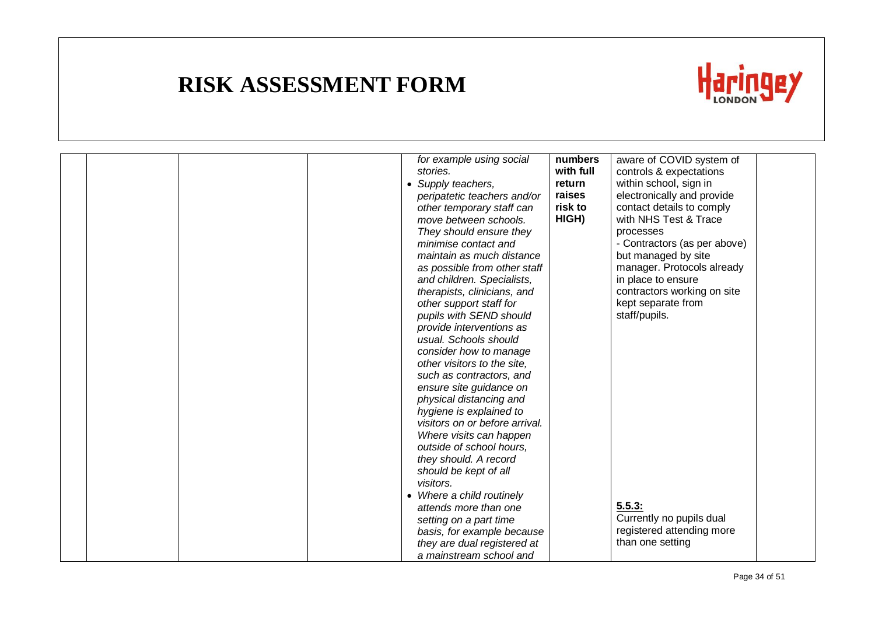

|  | for example using social       | numbers   | aware of COVID system of     |  |
|--|--------------------------------|-----------|------------------------------|--|
|  | stories.                       | with full | controls & expectations      |  |
|  | • Supply teachers,             | return    | within school, sign in       |  |
|  | peripatetic teachers and/or    | raises    | electronically and provide   |  |
|  | other temporary staff can      | risk to   | contact details to comply    |  |
|  | move between schools.          | HIGH)     | with NHS Test & Trace        |  |
|  | They should ensure they        |           | processes                    |  |
|  | minimise contact and           |           | - Contractors (as per above) |  |
|  | maintain as much distance      |           | but managed by site          |  |
|  | as possible from other staff   |           | manager. Protocols already   |  |
|  | and children. Specialists,     |           | in place to ensure           |  |
|  | therapists, clinicians, and    |           | contractors working on site  |  |
|  | other support staff for        |           | kept separate from           |  |
|  | pupils with SEND should        |           | staff/pupils.                |  |
|  | provide interventions as       |           |                              |  |
|  | usual. Schools should          |           |                              |  |
|  | consider how to manage         |           |                              |  |
|  | other visitors to the site,    |           |                              |  |
|  | such as contractors, and       |           |                              |  |
|  | ensure site guidance on        |           |                              |  |
|  | physical distancing and        |           |                              |  |
|  | hygiene is explained to        |           |                              |  |
|  | visitors on or before arrival. |           |                              |  |
|  | Where visits can happen        |           |                              |  |
|  | outside of school hours,       |           |                              |  |
|  | they should. A record          |           |                              |  |
|  | should be kept of all          |           |                              |  |
|  | visitors.                      |           |                              |  |
|  | • Where a child routinely      |           |                              |  |
|  | attends more than one          |           | 5.5.3:                       |  |
|  | setting on a part time         |           | Currently no pupils dual     |  |
|  | basis, for example because     |           | registered attending more    |  |
|  | they are dual registered at    |           | than one setting             |  |
|  | a mainstream school and        |           |                              |  |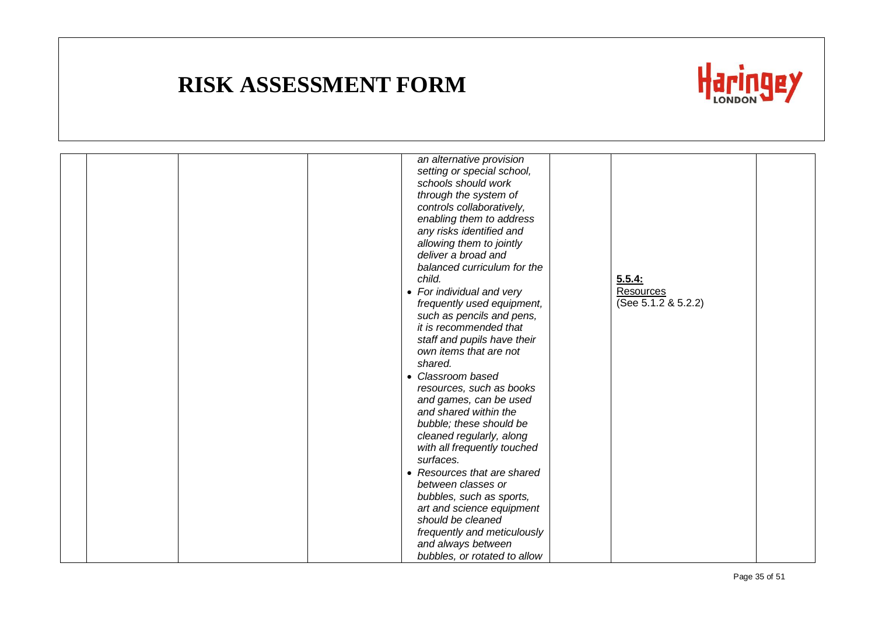

|  | an alternative provision<br>setting or special school,<br>schools should work<br>through the system of<br>controls collaboratively,<br>enabling them to address<br>any risks identified and<br>allowing them to jointly |                     |  |
|--|-------------------------------------------------------------------------------------------------------------------------------------------------------------------------------------------------------------------------|---------------------|--|
|  | deliver a broad and                                                                                                                                                                                                     |                     |  |
|  | balanced curriculum for the                                                                                                                                                                                             |                     |  |
|  | child.                                                                                                                                                                                                                  | 5.5.4:              |  |
|  | • For individual and very                                                                                                                                                                                               | <b>Resources</b>    |  |
|  | frequently used equipment,                                                                                                                                                                                              | (See 5.1.2 & 5.2.2) |  |
|  | such as pencils and pens,<br>it is recommended that                                                                                                                                                                     |                     |  |
|  | staff and pupils have their                                                                                                                                                                                             |                     |  |
|  | own items that are not                                                                                                                                                                                                  |                     |  |
|  | shared.                                                                                                                                                                                                                 |                     |  |
|  | • Classroom based                                                                                                                                                                                                       |                     |  |
|  | resources, such as books                                                                                                                                                                                                |                     |  |
|  | and games, can be used                                                                                                                                                                                                  |                     |  |
|  | and shared within the                                                                                                                                                                                                   |                     |  |
|  | bubble; these should be                                                                                                                                                                                                 |                     |  |
|  | cleaned regularly, along<br>with all frequently touched                                                                                                                                                                 |                     |  |
|  | surfaces.                                                                                                                                                                                                               |                     |  |
|  | • Resources that are shared                                                                                                                                                                                             |                     |  |
|  | between classes or                                                                                                                                                                                                      |                     |  |
|  | bubbles, such as sports,                                                                                                                                                                                                |                     |  |
|  | art and science equipment                                                                                                                                                                                               |                     |  |
|  | should be cleaned                                                                                                                                                                                                       |                     |  |
|  | frequently and meticulously                                                                                                                                                                                             |                     |  |
|  | and always between<br>bubbles, or rotated to allow                                                                                                                                                                      |                     |  |
|  |                                                                                                                                                                                                                         |                     |  |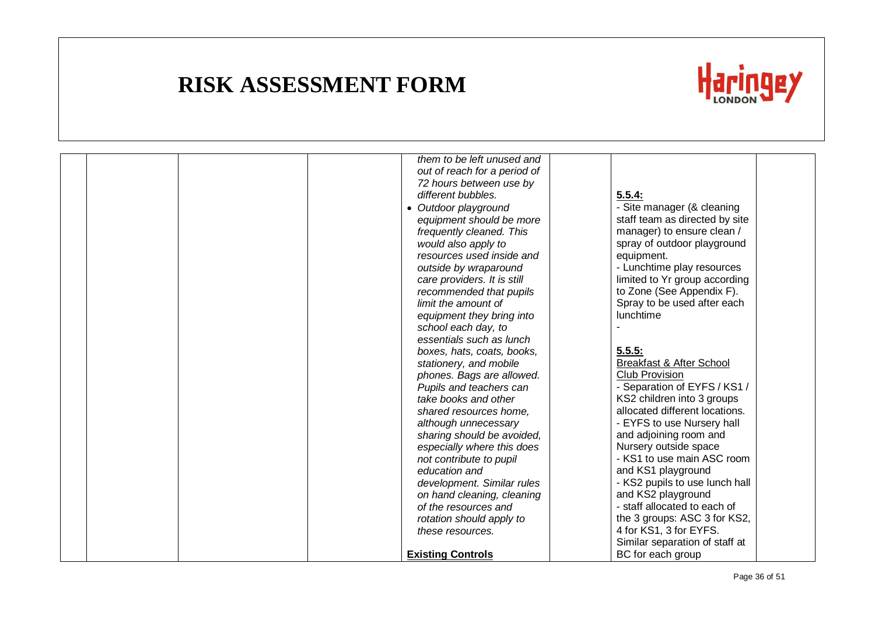

|  |  | them to be left unused and   |                                |  |
|--|--|------------------------------|--------------------------------|--|
|  |  | out of reach for a period of |                                |  |
|  |  | 72 hours between use by      |                                |  |
|  |  | different bubbles.           | 5.5.4:                         |  |
|  |  | • Outdoor playground         | - Site manager (& cleaning     |  |
|  |  | equipment should be more     | staff team as directed by site |  |
|  |  | frequently cleaned. This     | manager) to ensure clean /     |  |
|  |  | would also apply to          | spray of outdoor playground    |  |
|  |  | resources used inside and    | equipment.                     |  |
|  |  | outside by wraparound        | - Lunchtime play resources     |  |
|  |  | care providers. It is still  | limited to Yr group according  |  |
|  |  | recommended that pupils      | to Zone (See Appendix F).      |  |
|  |  | limit the amount of          | Spray to be used after each    |  |
|  |  | equipment they bring into    | lunchtime                      |  |
|  |  | school each day, to          |                                |  |
|  |  | essentials such as lunch     |                                |  |
|  |  | boxes, hats, coats, books,   | 5.5.5:                         |  |
|  |  | stationery, and mobile       | Breakfast & After School       |  |
|  |  | phones. Bags are allowed.    | Club Provision                 |  |
|  |  | Pupils and teachers can      | - Separation of EYFS / KS1 /   |  |
|  |  | take books and other         | KS2 children into 3 groups     |  |
|  |  | shared resources home.       | allocated different locations. |  |
|  |  | although unnecessary         | - EYFS to use Nursery hall     |  |
|  |  | sharing should be avoided,   | and adjoining room and         |  |
|  |  | especially where this does   | Nursery outside space          |  |
|  |  | not contribute to pupil      | - KS1 to use main ASC room     |  |
|  |  | education and                | and KS1 playground             |  |
|  |  | development. Similar rules   | - KS2 pupils to use lunch hall |  |
|  |  | on hand cleaning, cleaning   | and KS2 playground             |  |
|  |  | of the resources and         | - staff allocated to each of   |  |
|  |  | rotation should apply to     | the 3 groups: ASC 3 for KS2,   |  |
|  |  | these resources.             | 4 for KS1, 3 for EYFS.         |  |
|  |  |                              | Similar separation of staff at |  |
|  |  |                              | BC for each group              |  |
|  |  | <b>Existing Controls</b>     |                                |  |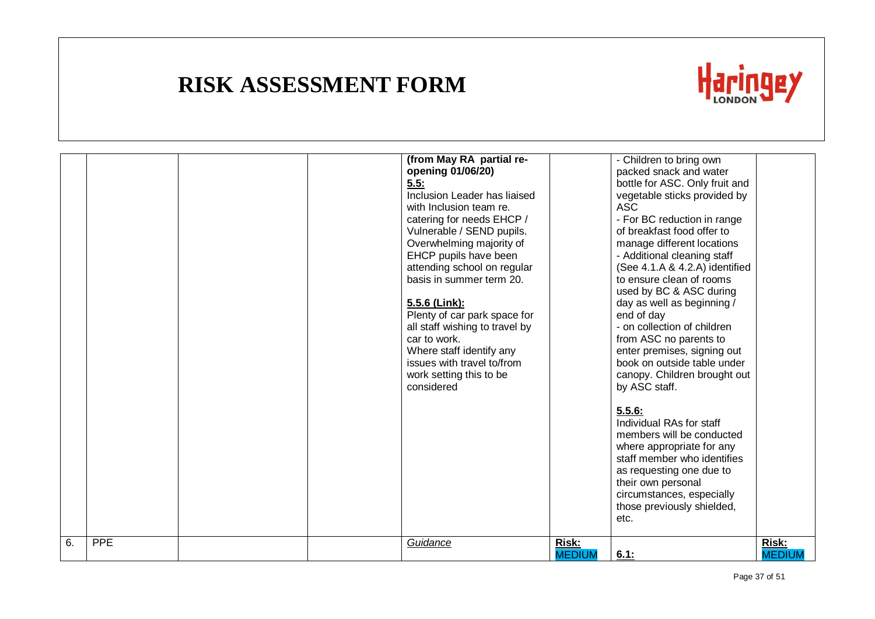

|    |     |  | (from May RA partial re-<br>opening 01/06/20)<br>5.5:<br>Inclusion Leader has liaised<br>with Inclusion team re.<br>catering for needs EHCP /<br>Vulnerable / SEND pupils.<br>Overwhelming majority of<br>EHCP pupils have been<br>attending school on regular<br>basis in summer term 20.<br>5.5.6 (Link):<br>Plenty of car park space for<br>all staff wishing to travel by<br>car to work.<br>Where staff identify any<br>issues with travel to/from<br>work setting this to be<br>considered |                        | - Children to bring own<br>packed snack and water<br>bottle for ASC. Only fruit and<br>vegetable sticks provided by<br><b>ASC</b><br>- For BC reduction in range<br>of breakfast food offer to<br>manage different locations<br>- Additional cleaning staff<br>(See 4.1.A & 4.2.A) identified<br>to ensure clean of rooms<br>used by BC & ASC during<br>day as well as beginning /<br>end of day<br>- on collection of children<br>from ASC no parents to<br>enter premises, signing out<br>book on outside table under<br>canopy. Children brought out<br>by ASC staff.<br>5.5.6:<br>Individual RAs for staff<br>members will be conducted<br>where appropriate for any<br>staff member who identifies<br>as requesting one due to<br>their own personal<br>circumstances, especially<br>those previously shielded,<br>etc. |                        |
|----|-----|--|--------------------------------------------------------------------------------------------------------------------------------------------------------------------------------------------------------------------------------------------------------------------------------------------------------------------------------------------------------------------------------------------------------------------------------------------------------------------------------------------------|------------------------|------------------------------------------------------------------------------------------------------------------------------------------------------------------------------------------------------------------------------------------------------------------------------------------------------------------------------------------------------------------------------------------------------------------------------------------------------------------------------------------------------------------------------------------------------------------------------------------------------------------------------------------------------------------------------------------------------------------------------------------------------------------------------------------------------------------------------|------------------------|
| 6. | PPE |  | Guidance                                                                                                                                                                                                                                                                                                                                                                                                                                                                                         | Risk:<br><b>MEDIUM</b> | 6.1:                                                                                                                                                                                                                                                                                                                                                                                                                                                                                                                                                                                                                                                                                                                                                                                                                         | Risk:<br><b>MEDIUM</b> |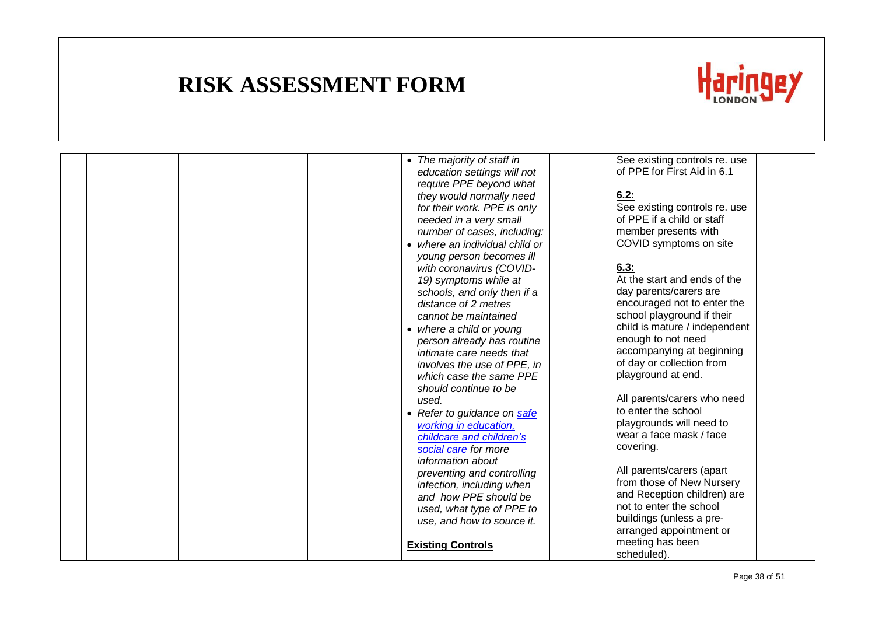

|  |  | • The majority of staff in     |                         | See existing controls re. use |
|--|--|--------------------------------|-------------------------|-------------------------------|
|  |  | education settings will not    |                         | of PPE for First Aid in 6.1   |
|  |  | require PPE beyond what        |                         |                               |
|  |  | they would normally need       | 6.2:                    |                               |
|  |  | for their work. PPE is only    |                         | See existing controls re. use |
|  |  | needed in a very small         |                         | of PPE if a child or staff    |
|  |  | number of cases, including:    | member presents with    |                               |
|  |  | • where an individual child or |                         | COVID symptoms on site        |
|  |  | young person becomes ill       |                         |                               |
|  |  | with coronavirus (COVID-       | 6.3:                    |                               |
|  |  | 19) symptoms while at          |                         | At the start and ends of the  |
|  |  | schools, and only then if a    | day parents/carers are  |                               |
|  |  | distance of 2 metres           |                         | encouraged not to enter the   |
|  |  | cannot be maintained           |                         | school playground if their    |
|  |  | • where a child or young       |                         | child is mature / independent |
|  |  | person already has routine     | enough to not need      |                               |
|  |  | intimate care needs that       |                         | accompanying at beginning     |
|  |  | involves the use of PPE, in    |                         | of day or collection from     |
|  |  | which case the same PPE        | playground at end.      |                               |
|  |  | should continue to be          |                         |                               |
|  |  | used.                          |                         | All parents/carers who need   |
|  |  | • Refer to guidance on safe    | to enter the school     |                               |
|  |  | working in education,          |                         | playgrounds will need to      |
|  |  | childcare and children's       |                         | wear a face mask / face       |
|  |  | social care for more           | covering.               |                               |
|  |  | information about              |                         |                               |
|  |  | preventing and controlling     |                         | All parents/carers (apart     |
|  |  | infection, including when      |                         | from those of New Nursery     |
|  |  | and how PPE should be          |                         | and Reception children) are   |
|  |  | used, what type of PPE to      | not to enter the school |                               |
|  |  | use, and how to source it.     |                         | buildings (unless a pre-      |
|  |  |                                |                         | arranged appointment or       |
|  |  | <b>Existing Controls</b>       | meeting has been        |                               |
|  |  |                                | scheduled).             |                               |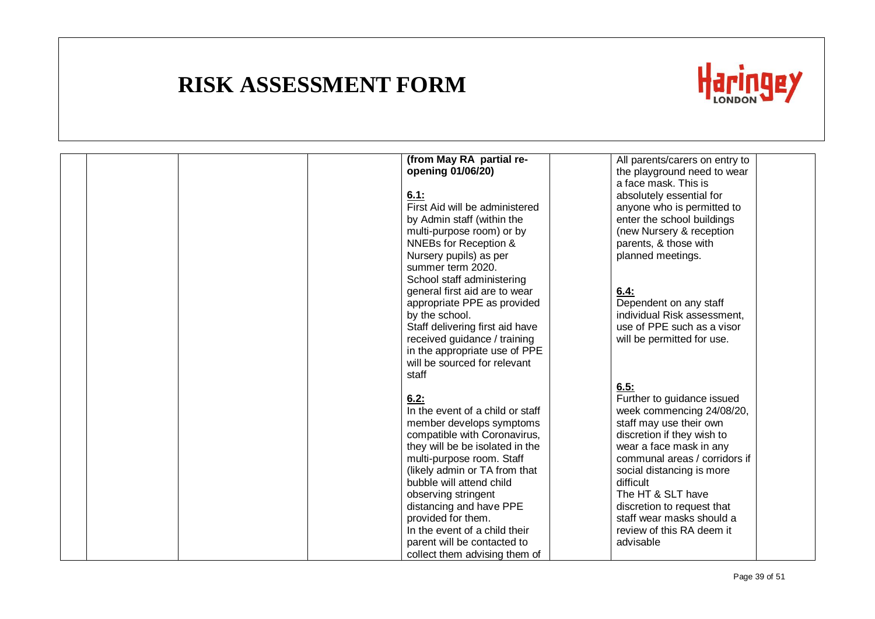

|  | (from May RA partial re-<br>opening 01/06/20)       | All parents/carers on entry to<br>the playground need to wear |
|--|-----------------------------------------------------|---------------------------------------------------------------|
|  |                                                     | a face mask. This is                                          |
|  | 6.1:                                                | absolutely essential for                                      |
|  | First Aid will be administered                      | anyone who is permitted to                                    |
|  | by Admin staff (within the                          | enter the school buildings                                    |
|  | multi-purpose room) or by                           | (new Nursery & reception                                      |
|  | NNEBs for Reception &                               | parents, & those with                                         |
|  | Nursery pupils) as per                              | planned meetings.                                             |
|  | summer term 2020.                                   |                                                               |
|  | School staff administering                          |                                                               |
|  | general first aid are to wear                       | 6.4:                                                          |
|  | appropriate PPE as provided                         | Dependent on any staff                                        |
|  | by the school.                                      | individual Risk assessment,                                   |
|  | Staff delivering first aid have                     | use of PPE such as a visor                                    |
|  | received guidance / training                        | will be permitted for use.                                    |
|  | in the appropriate use of PPE                       |                                                               |
|  | will be sourced for relevant                        |                                                               |
|  | staff                                               |                                                               |
|  |                                                     | 6.5:                                                          |
|  | 6.2:                                                | Further to guidance issued                                    |
|  | In the event of a child or staff                    | week commencing 24/08/20,                                     |
|  | member develops symptoms                            | staff may use their own                                       |
|  | compatible with Coronavirus,                        | discretion if they wish to                                    |
|  | they will be be isolated in the                     | wear a face mask in any                                       |
|  | multi-purpose room. Staff                           | communal areas / corridors if                                 |
|  | (likely admin or TA from that                       | social distancing is more                                     |
|  | bubble will attend child                            | difficult                                                     |
|  | observing stringent                                 | The HT & SLT have                                             |
|  | distancing and have PPE                             | discretion to request that<br>staff wear masks should a       |
|  | provided for them.<br>In the event of a child their | review of this RA deem it                                     |
|  | parent will be contacted to                         | advisable                                                     |
|  | collect them advising them of                       |                                                               |
|  |                                                     |                                                               |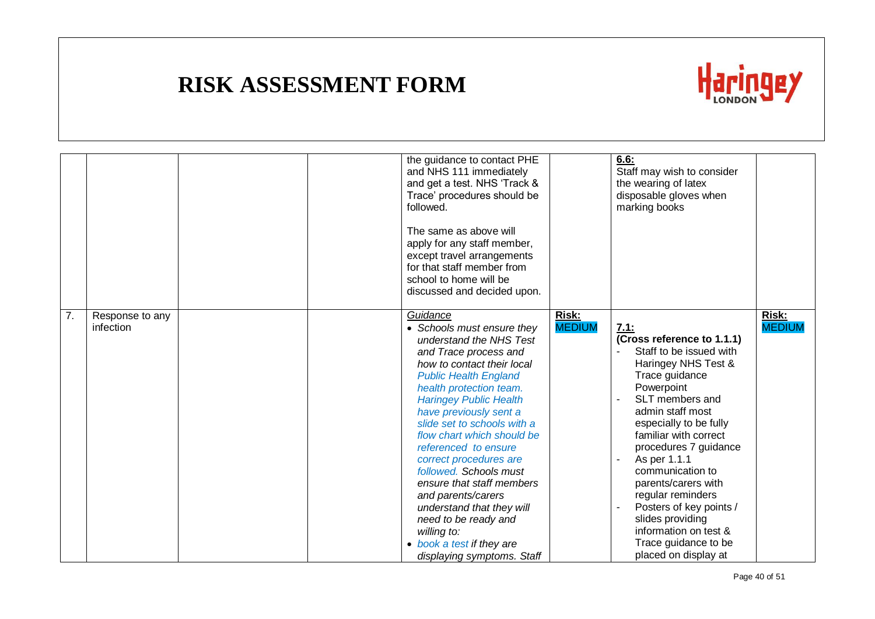

|    |                              |  | the guidance to contact PHE<br>and NHS 111 immediately<br>and get a test. NHS 'Track &<br>Trace' procedures should be<br>followed.<br>The same as above will<br>apply for any staff member,<br>except travel arrangements<br>for that staff member from<br>school to home will be<br>discussed and decided upon.                                                                                                                                                                                                                                                          |                               | 6.6:<br>Staff may wish to consider<br>the wearing of latex<br>disposable gloves when<br>marking books                                                                                                                                                                                                                                                                                                                                           |                               |
|----|------------------------------|--|---------------------------------------------------------------------------------------------------------------------------------------------------------------------------------------------------------------------------------------------------------------------------------------------------------------------------------------------------------------------------------------------------------------------------------------------------------------------------------------------------------------------------------------------------------------------------|-------------------------------|-------------------------------------------------------------------------------------------------------------------------------------------------------------------------------------------------------------------------------------------------------------------------------------------------------------------------------------------------------------------------------------------------------------------------------------------------|-------------------------------|
| 7. | Response to any<br>infection |  | Guidance<br>• Schools must ensure they<br>understand the NHS Test<br>and Trace process and<br>how to contact their local<br><b>Public Health England</b><br>health protection team.<br><b>Haringey Public Health</b><br>have previously sent a<br>slide set to schools with a<br>flow chart which should be<br>referenced to ensure<br>correct procedures are<br>followed. Schools must<br>ensure that staff members<br>and parents/carers<br>understand that they will<br>need to be ready and<br>willing to:<br>• book a test if they are<br>displaying symptoms. Staff | <b>Risk:</b><br><b>MEDIUM</b> | 7.1:<br>(Cross reference to 1.1.1)<br>Staff to be issued with<br>Haringey NHS Test &<br>Trace guidance<br>Powerpoint<br>SLT members and<br>admin staff most<br>especially to be fully<br>familiar with correct<br>procedures 7 guidance<br>As per 1.1.1<br>communication to<br>parents/carers with<br>regular reminders<br>Posters of key points /<br>slides providing<br>information on test &<br>Trace guidance to be<br>placed on display at | <b>Risk:</b><br><b>MEDIUM</b> |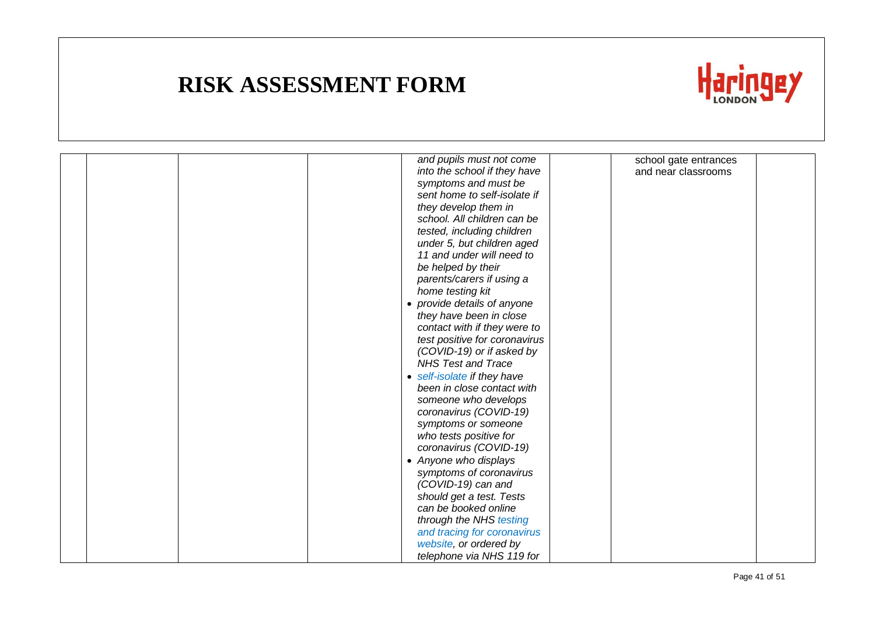

|  |  | and pupils must not come      | school gate entrances |  |
|--|--|-------------------------------|-----------------------|--|
|  |  | into the school if they have  | and near classrooms   |  |
|  |  | symptoms and must be          |                       |  |
|  |  | sent home to self-isolate if  |                       |  |
|  |  | they develop them in          |                       |  |
|  |  | school. All children can be   |                       |  |
|  |  | tested, including children    |                       |  |
|  |  | under 5, but children aged    |                       |  |
|  |  | 11 and under will need to     |                       |  |
|  |  | be helped by their            |                       |  |
|  |  | parents/carers if using a     |                       |  |
|  |  | home testing kit              |                       |  |
|  |  | • provide details of anyone   |                       |  |
|  |  | they have been in close       |                       |  |
|  |  | contact with if they were to  |                       |  |
|  |  | test positive for coronavirus |                       |  |
|  |  | (COVID-19) or if asked by     |                       |  |
|  |  | <b>NHS Test and Trace</b>     |                       |  |
|  |  | • self-isolate if they have   |                       |  |
|  |  | been in close contact with    |                       |  |
|  |  | someone who develops          |                       |  |
|  |  | coronavirus (COVID-19)        |                       |  |
|  |  | symptoms or someone           |                       |  |
|  |  | who tests positive for        |                       |  |
|  |  | coronavirus (COVID-19)        |                       |  |
|  |  | • Anyone who displays         |                       |  |
|  |  | symptoms of coronavirus       |                       |  |
|  |  | (COVID-19) can and            |                       |  |
|  |  | should get a test. Tests      |                       |  |
|  |  | can be booked online          |                       |  |
|  |  | through the NHS testing       |                       |  |
|  |  | and tracing for coronavirus   |                       |  |
|  |  | website, or ordered by        |                       |  |
|  |  | telephone via NHS 119 for     |                       |  |
|  |  |                               |                       |  |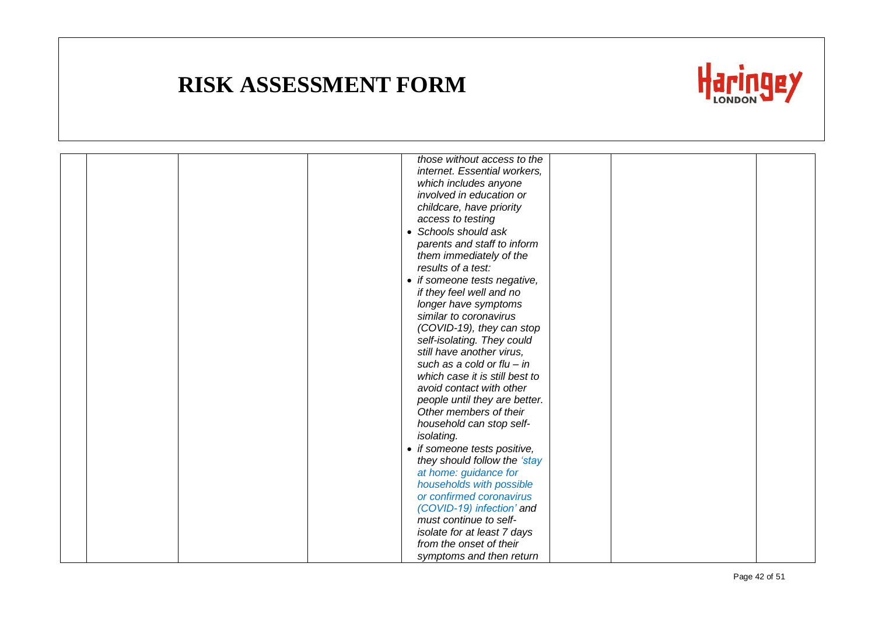

|  |  | those without access to the    |  |  |
|--|--|--------------------------------|--|--|
|  |  | internet. Essential workers,   |  |  |
|  |  | which includes anyone          |  |  |
|  |  | involved in education or       |  |  |
|  |  | childcare, have priority       |  |  |
|  |  | access to testing              |  |  |
|  |  | • Schools should ask           |  |  |
|  |  | parents and staff to inform    |  |  |
|  |  | them immediately of the        |  |  |
|  |  | results of a test:             |  |  |
|  |  | • if someone tests negative,   |  |  |
|  |  | if they feel well and no       |  |  |
|  |  | longer have symptoms           |  |  |
|  |  | similar to coronavirus         |  |  |
|  |  | (COVID-19), they can stop      |  |  |
|  |  | self-isolating. They could     |  |  |
|  |  | still have another virus,      |  |  |
|  |  | such as a cold or flu $-$ in   |  |  |
|  |  | which case it is still best to |  |  |
|  |  | avoid contact with other       |  |  |
|  |  | people until they are better.  |  |  |
|  |  | Other members of their         |  |  |
|  |  | household can stop self-       |  |  |
|  |  | isolating.                     |  |  |
|  |  | • if someone tests positive,   |  |  |
|  |  | they should follow the 'stay   |  |  |
|  |  | at home: guidance for          |  |  |
|  |  | households with possible       |  |  |
|  |  | or confirmed coronavirus       |  |  |
|  |  | (COVID-19) infection' and      |  |  |
|  |  | must continue to self-         |  |  |
|  |  | isolate for at least 7 days    |  |  |
|  |  | from the onset of their        |  |  |
|  |  | symptoms and then return       |  |  |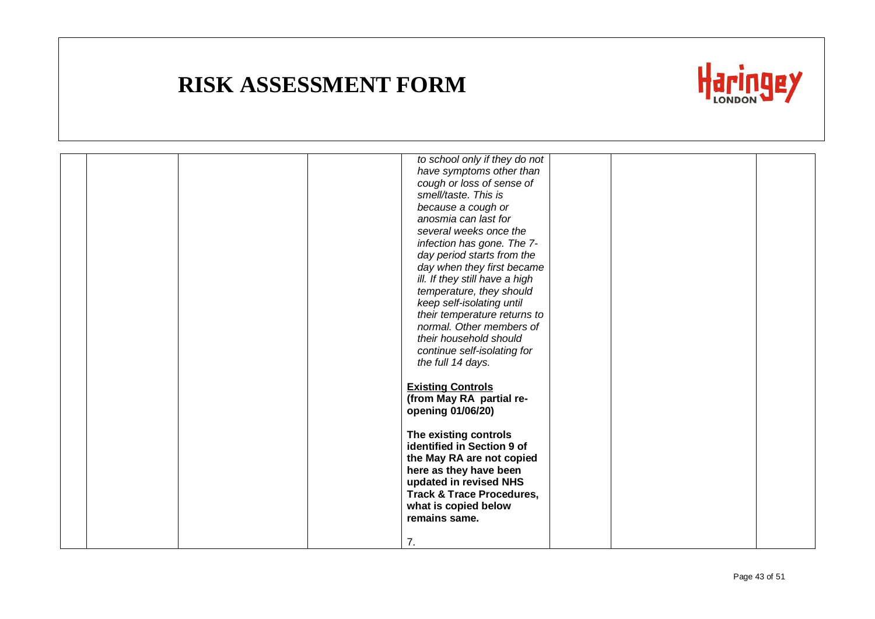

|  | to school only if they do not<br>have symptoms other than<br>cough or loss of sense of<br>smell/taste. This is<br>because a cough or                                                                                  |  |
|--|-----------------------------------------------------------------------------------------------------------------------------------------------------------------------------------------------------------------------|--|
|  | anosmia can last for<br>several weeks once the<br>infection has gone. The 7-<br>day period starts from the<br>day when they first became<br>ill. If they still have a high                                            |  |
|  | temperature, they should<br>keep self-isolating until<br>their temperature returns to<br>normal. Other members of<br>their household should<br>continue self-isolating for<br>the full 14 days.                       |  |
|  | <b>Existing Controls</b><br>(from May RA partial re-<br>opening 01/06/20)                                                                                                                                             |  |
|  | The existing controls<br>identified in Section 9 of<br>the May RA are not copied<br>here as they have been<br>updated in revised NHS<br><b>Track &amp; Trace Procedures,</b><br>what is copied below<br>remains same. |  |
|  | 7.                                                                                                                                                                                                                    |  |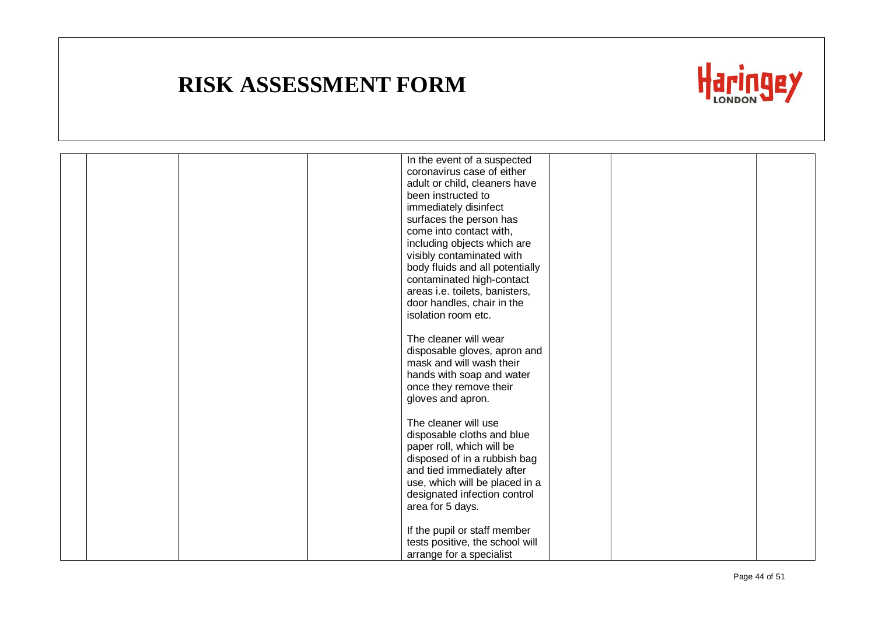

|  |  | In the event of a suspected     |  |  |
|--|--|---------------------------------|--|--|
|  |  | coronavirus case of either      |  |  |
|  |  | adult or child, cleaners have   |  |  |
|  |  | been instructed to              |  |  |
|  |  | immediately disinfect           |  |  |
|  |  | surfaces the person has         |  |  |
|  |  | come into contact with,         |  |  |
|  |  | including objects which are     |  |  |
|  |  |                                 |  |  |
|  |  | visibly contaminated with       |  |  |
|  |  | body fluids and all potentially |  |  |
|  |  | contaminated high-contact       |  |  |
|  |  | areas i.e. toilets, banisters,  |  |  |
|  |  | door handles, chair in the      |  |  |
|  |  | isolation room etc.             |  |  |
|  |  |                                 |  |  |
|  |  | The cleaner will wear           |  |  |
|  |  | disposable gloves, apron and    |  |  |
|  |  | mask and will wash their        |  |  |
|  |  | hands with soap and water       |  |  |
|  |  | once they remove their          |  |  |
|  |  | gloves and apron.               |  |  |
|  |  |                                 |  |  |
|  |  | The cleaner will use            |  |  |
|  |  | disposable cloths and blue      |  |  |
|  |  | paper roll, which will be       |  |  |
|  |  | disposed of in a rubbish bag    |  |  |
|  |  |                                 |  |  |
|  |  | and tied immediately after      |  |  |
|  |  | use, which will be placed in a  |  |  |
|  |  | designated infection control    |  |  |
|  |  | area for 5 days.                |  |  |
|  |  |                                 |  |  |
|  |  | If the pupil or staff member    |  |  |
|  |  | tests positive, the school will |  |  |
|  |  | arrange for a specialist        |  |  |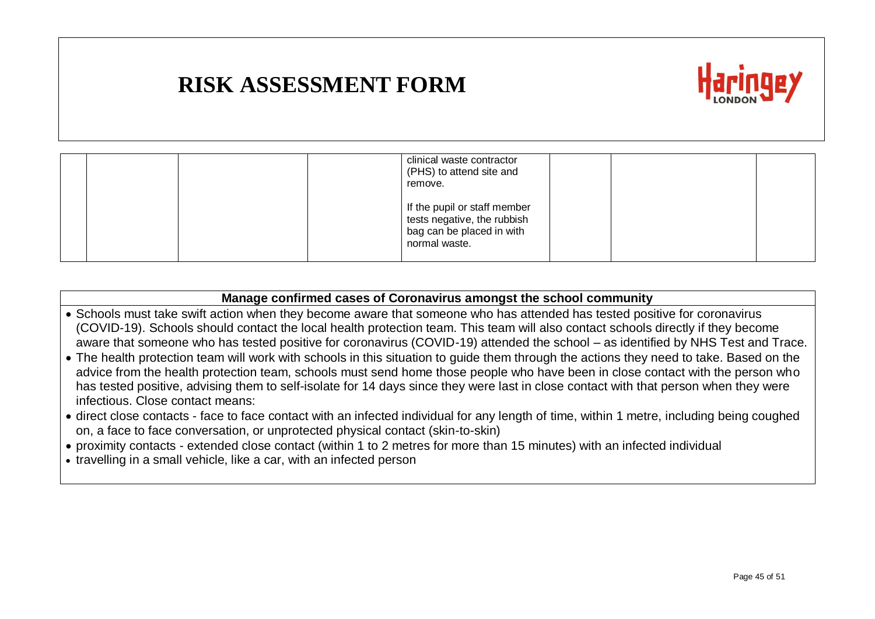

|  | clinical waste contractor<br>(PHS) to attend site and<br>remove.                                          |  |
|--|-----------------------------------------------------------------------------------------------------------|--|
|  | If the pupil or staff member<br>tests negative, the rubbish<br>bag can be placed in with<br>normal waste. |  |

#### **Manage confirmed cases of Coronavirus amongst the school community**

- Schools must take swift action when they become aware that someone who has attended has tested positive for coronavirus (COVID-19). Schools should contact the local health protection team. This team will also contact schools directly if they become aware that someone who has tested positive for coronavirus (COVID-19) attended the school – as identified by NHS Test and Trace.
- The health protection team will work with schools in this situation to guide them through the actions they need to take. Based on the advice from the health protection team, schools must send home those people who have been in close contact with the person who has tested positive, advising them to self-isolate for 14 days since they were last in close contact with that person when they were infectious. Close contact means:
- direct close contacts face to face contact with an infected individual for any length of time, within 1 metre, including being coughed on, a face to face conversation, or unprotected physical contact (skin-to-skin)
- proximity contacts extended close contact (within 1 to 2 metres for more than 15 minutes) with an infected individual
- travelling in a small vehicle, like a car, with an infected person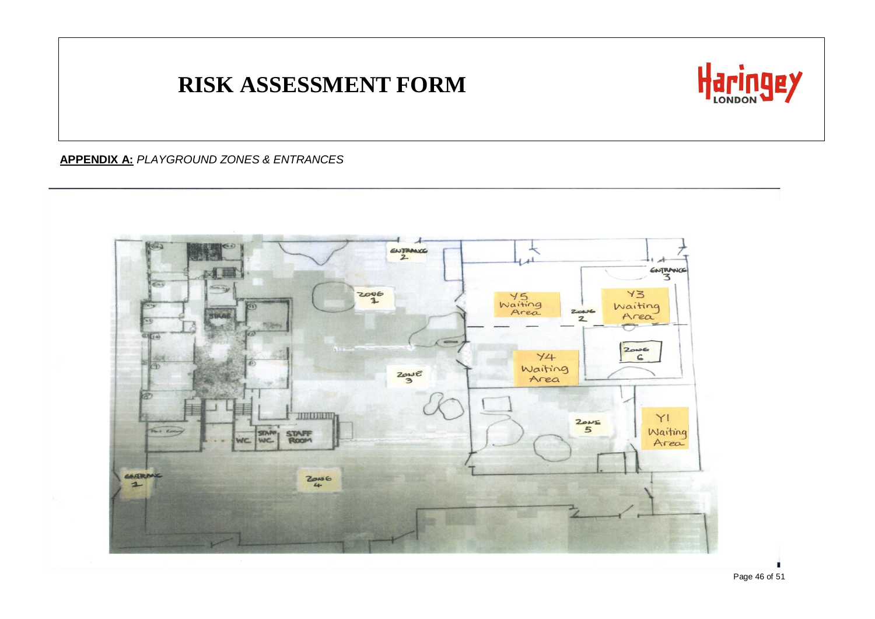

#### **APPENDIX A:** *PLAYGROUND ZONES & ENTRANCES*

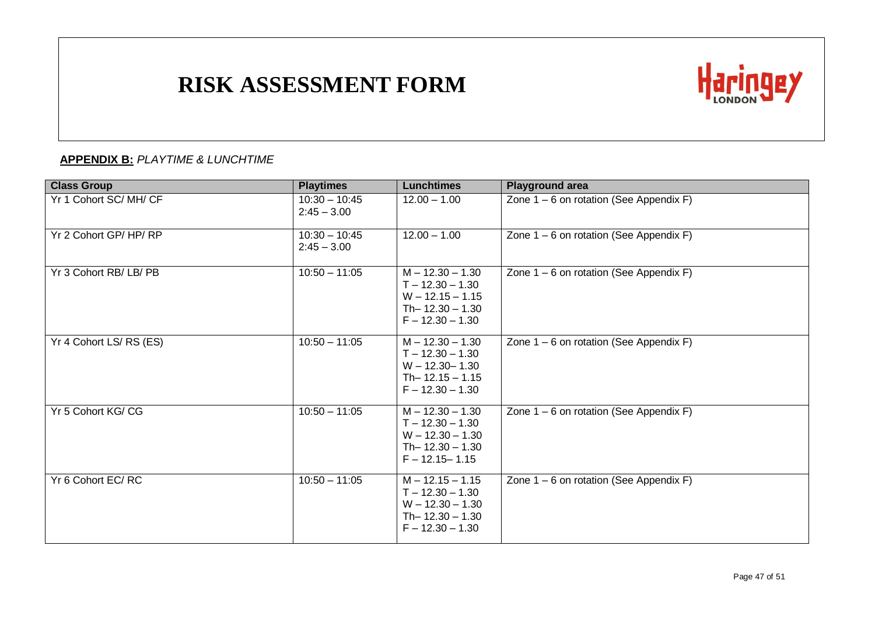

#### **APPENDIX B:** *PLAYTIME & LUNCHTIME*

| <b>Class Group</b>     | <b>Playtimes</b>                 | <b>Lunchtimes</b>                                                                                          | <b>Playground area</b>                    |
|------------------------|----------------------------------|------------------------------------------------------------------------------------------------------------|-------------------------------------------|
| Yr 1 Cohort SC/MH/CF   | $10:30 - 10:45$<br>$2:45 - 3.00$ | $12.00 - 1.00$                                                                                             | Zone $1 - 6$ on rotation (See Appendix F) |
| Yr 2 Cohort GP/HP/RP   | $10:30 - 10:45$<br>$2:45 - 3.00$ | $12.00 - 1.00$                                                                                             | Zone $1 - 6$ on rotation (See Appendix F) |
| Yr 3 Cohort RB/LB/PB   | $10:50 - 11:05$                  | $M - 12.30 - 1.30$<br>$T - 12.30 - 1.30$<br>$W - 12.15 - 1.15$<br>Th- $12.30 - 1.30$<br>$F - 12.30 - 1.30$ | Zone $1 - 6$ on rotation (See Appendix F) |
| Yr 4 Cohort LS/RS (ES) | $10:50 - 11:05$                  | $M - 12.30 - 1.30$<br>$T - 12.30 - 1.30$<br>$W - 12.30 - 1.30$<br>$Th- 12.15 - 1.15$<br>$F - 12.30 - 1.30$ | Zone $1 - 6$ on rotation (See Appendix F) |
| Yr 5 Cohort KG/CG      | $10:50 - 11:05$                  | $M - 12.30 - 1.30$<br>$T - 12.30 - 1.30$<br>$W - 12.30 - 1.30$<br>Th- $12.30 - 1.30$<br>$F - 12.15 - 1.15$ | Zone $1 - 6$ on rotation (See Appendix F) |
| Yr 6 Cohort EC/RC      | $10:50 - 11:05$                  | $M - 12.15 - 1.15$<br>$T - 12.30 - 1.30$<br>$W - 12.30 - 1.30$<br>Th- $12.30 - 1.30$<br>$F - 12.30 - 1.30$ | Zone $1 - 6$ on rotation (See Appendix F) |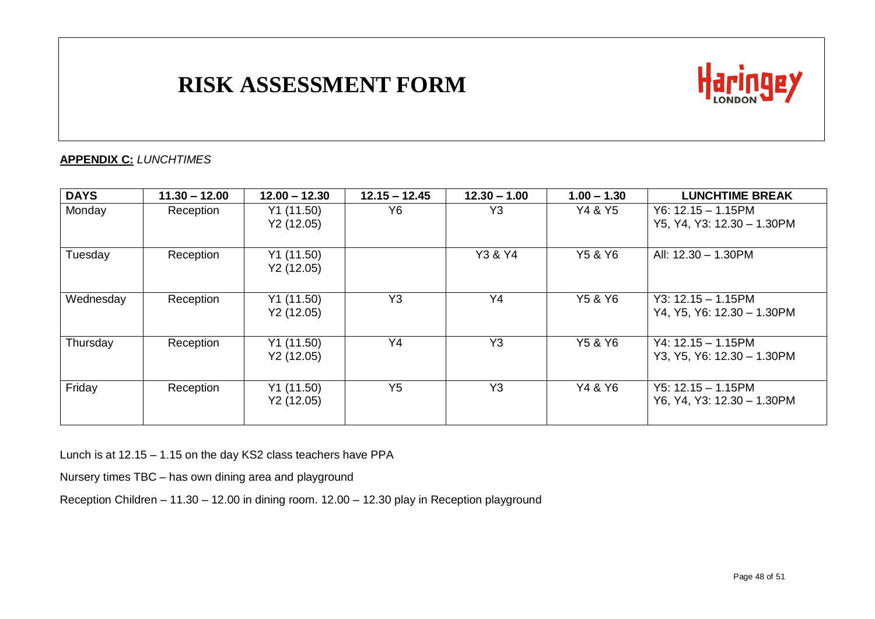

#### **APPENDIX C:** *LUNCHTIMES*

| <b>DAYS</b> | $11.30 - 12.00$ | $12.00 - 12.30$         | $12.15 - 12.45$ | $12.30 - 1.00$ | $1.00 - 1.30$ | <b>LUNCHTIME BREAK</b>                              |
|-------------|-----------------|-------------------------|-----------------|----------------|---------------|-----------------------------------------------------|
| Monday      | Reception       | Y1(11.50)<br>Y2(12.05)  | Y6              | Y <sub>3</sub> | Y4 & Y5       | $Y6: 12.15 - 1.15$ PM<br>Y5, Y4, Y3: 12.30 - 1.30PM |
| Tuesday     | Reception       | Y1 (11.50)<br>Y2(12.05) |                 | Y3 & Y4        | Y5 & Y6       | All: 12.30 - 1.30PM                                 |
| Wednesday   | Reception       | Y1 (11.50)<br>Y2(12.05) | Y <sub>3</sub>  | Y <sub>4</sub> | Y5 & Y6       | $Y3: 12.15 - 1.15$ PM<br>Y4, Y5, Y6: 12.30 - 1.30PM |
| Thursday    | Reception       | Y1(11.50)<br>Y2(12.05)  | Y4              | Y <sub>3</sub> | Y5 & Y6       | $Y4: 12.15 - 1.15$ PM<br>Y3, Y5, Y6: 12.30 - 1.30PM |
| Friday      | Reception       | Y1(11.50)<br>Y2(12.05)  | Y <sub>5</sub>  | Y <sub>3</sub> | Y4 & Y6       | $Y5: 12.15 - 1.15$ PM<br>Y6, Y4, Y3: 12.30 - 1.30PM |

Lunch is at 12.15 – 1.15 on the day KS2 class teachers have PPA

Nursery times TBC – has own dining area and playground

Reception Children – 11.30 – 12.00 in dining room. 12.00 – 12.30 play in Reception playground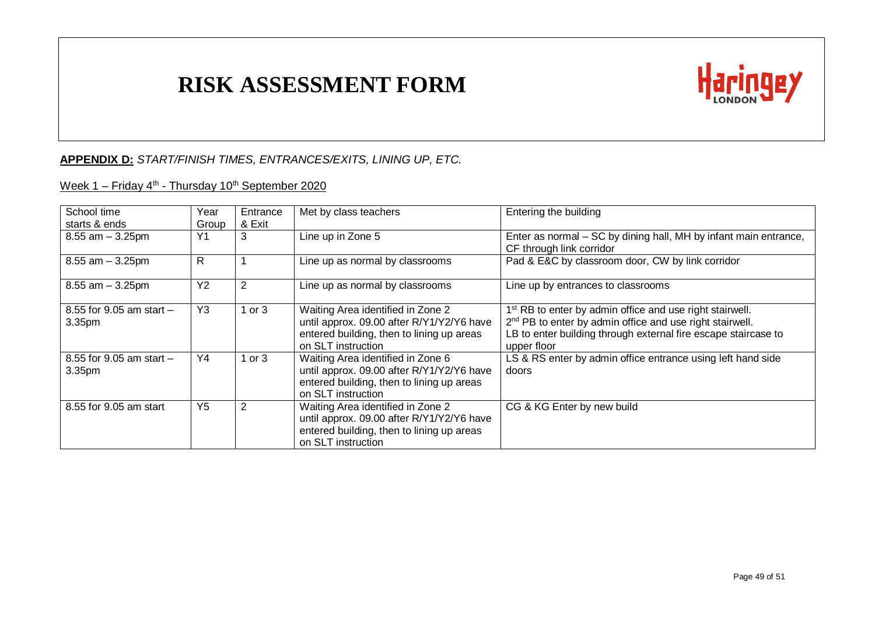

#### **APPENDIX D:** *START/FINISH TIMES, ENTRANCES/EXITS, LINING UP, ETC.*

#### <u>Week 1 – Friday 4<sup>th</sup> - Thursday 10<sup>th</sup> September 2020</u>

| School time<br>starts & ends                       | Year<br>Group  | Entrance<br>& Exit | Met by class teachers                                                                                                                             | Entering the building                                                                                                                                                                                                         |
|----------------------------------------------------|----------------|--------------------|---------------------------------------------------------------------------------------------------------------------------------------------------|-------------------------------------------------------------------------------------------------------------------------------------------------------------------------------------------------------------------------------|
| $8.55$ am $-3.25$ pm                               | Y1             | 3                  | Line up in Zone 5                                                                                                                                 | Enter as normal – SC by dining hall, MH by infant main entrance,<br>CF through link corridor                                                                                                                                  |
| $8.55$ am $-3.25$ pm                               | R.             |                    | Line up as normal by classrooms                                                                                                                   | Pad & E&C by classroom door, CW by link corridor                                                                                                                                                                              |
| $8.55$ am $-3.25$ pm                               | Y <sub>2</sub> | 2                  | Line up as normal by classrooms                                                                                                                   | Line up by entrances to classrooms                                                                                                                                                                                            |
| 8.55 for $9.05$ am start $-$<br>3.35 <sub>pm</sub> | Y3             | 1 or $3$           | Waiting Area identified in Zone 2<br>until approx. 09.00 after R/Y1/Y2/Y6 have<br>entered building, then to lining up areas<br>on SLT instruction | 1 <sup>st</sup> RB to enter by admin office and use right stairwell.<br>2 <sup>nd</sup> PB to enter by admin office and use right stairwell.<br>LB to enter building through external fire escape staircase to<br>upper floor |
| 8.55 for 9.05 am start $-$<br>3.35 <sub>pm</sub>   | Y4             | 1 or $3$           | Waiting Area identified in Zone 6<br>until approx. 09.00 after R/Y1/Y2/Y6 have<br>entered building, then to lining up areas<br>on SLT instruction | LS & RS enter by admin office entrance using left hand side<br>doors                                                                                                                                                          |
| 8.55 for 9.05 am start                             | Y <sub>5</sub> | 2                  | Waiting Area identified in Zone 2<br>until approx. 09.00 after R/Y1/Y2/Y6 have<br>entered building, then to lining up areas<br>on SLT instruction | CG & KG Enter by new build                                                                                                                                                                                                    |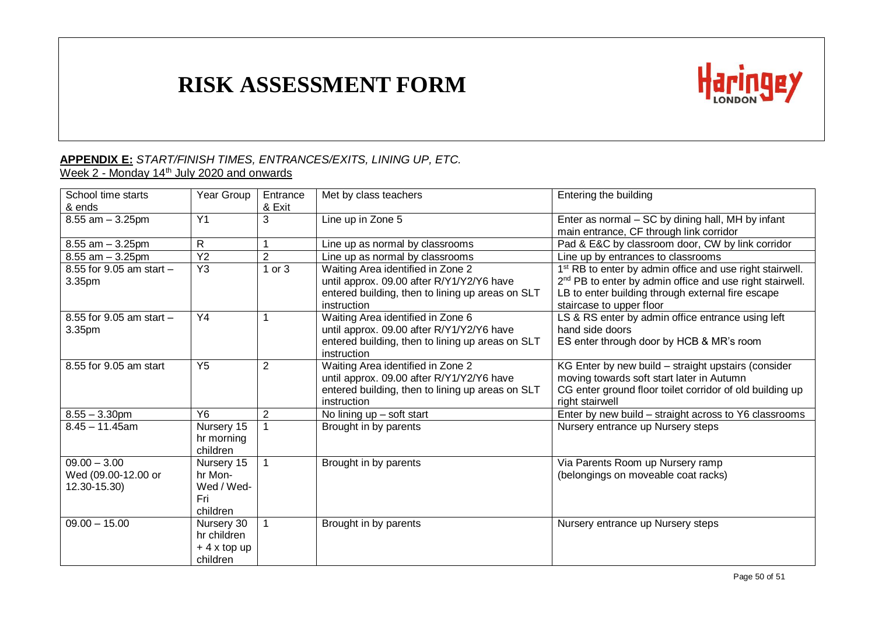

#### **APPENDIX E:** *START/FINISH TIMES, ENTRANCES/EXITS, LINING UP, ETC.* Week 2 - Monday 14<sup>th</sup> July 2020 and onwards

| School time starts<br>& ends                          | Year Group                                             | Entrance<br>& Exit | Met by class teachers                                                                                                                             | Entering the building                                                                                                                                                                                                         |
|-------------------------------------------------------|--------------------------------------------------------|--------------------|---------------------------------------------------------------------------------------------------------------------------------------------------|-------------------------------------------------------------------------------------------------------------------------------------------------------------------------------------------------------------------------------|
| $8.55$ am $-3.25$ pm                                  | Y <sub>1</sub>                                         | 3                  | Line up in Zone 5                                                                                                                                 | Enter as normal – SC by dining hall, MH by infant<br>main entrance, CF through link corridor                                                                                                                                  |
| $8.55$ am $-3.25$ pm                                  | $\mathsf{R}$                                           |                    | Line up as normal by classrooms                                                                                                                   | Pad & E&C by classroom door, CW by link corridor                                                                                                                                                                              |
| $8.55$ am $-3.25$ pm                                  | Y <sub>2</sub>                                         | $\overline{2}$     | Line up as normal by classrooms                                                                                                                   | Line up by entrances to classrooms                                                                                                                                                                                            |
| 8.55 for 9.05 am start $-$<br>3.35pm                  | Y <sub>3</sub>                                         | $1$ or $3$         | Waiting Area identified in Zone 2<br>until approx. 09.00 after R/Y1/Y2/Y6 have<br>entered building, then to lining up areas on SLT<br>instruction | 1 <sup>st</sup> RB to enter by admin office and use right stairwell.<br>2 <sup>nd</sup> PB to enter by admin office and use right stairwell.<br>LB to enter building through external fire escape<br>staircase to upper floor |
| 8.55 for 9.05 am start $-$<br>3.35pm                  | Y4                                                     |                    | Waiting Area identified in Zone 6<br>until approx. 09.00 after R/Y1/Y2/Y6 have<br>entered building, then to lining up areas on SLT<br>instruction | LS & RS enter by admin office entrance using left<br>hand side doors<br>ES enter through door by HCB & MR's room                                                                                                              |
| 8.55 for 9.05 am start                                | Y <sub>5</sub>                                         | $\overline{2}$     | Waiting Area identified in Zone 2<br>until approx. 09.00 after R/Y1/Y2/Y6 have<br>entered building, then to lining up areas on SLT<br>instruction | KG Enter by new build - straight upstairs (consider<br>moving towards soft start later in Autumn<br>CG enter ground floor toilet corridor of old building up<br>right stairwell                                               |
| $8.55 - 3.30$ pm                                      | Y6                                                     | $\overline{2}$     | No lining $up$ – soft start                                                                                                                       | Enter by new build - straight across to Y6 classrooms                                                                                                                                                                         |
| $8.45 - 11.45$ am                                     | Nursery 15<br>hr morning<br>children                   |                    | Brought in by parents                                                                                                                             | Nursery entrance up Nursery steps                                                                                                                                                                                             |
| $09.00 - 3.00$<br>Wed (09.00-12.00 or<br>12.30-15.30) | Nursery 15<br>hr Mon-<br>Wed / Wed-<br>Fri<br>children |                    | Brought in by parents                                                                                                                             | Via Parents Room up Nursery ramp<br>(belongings on moveable coat racks)                                                                                                                                                       |
| $09.00 - 15.00$                                       | Nursery 30<br>hr children<br>$+4x$ top up<br>children  |                    | Brought in by parents                                                                                                                             | Nursery entrance up Nursery steps                                                                                                                                                                                             |